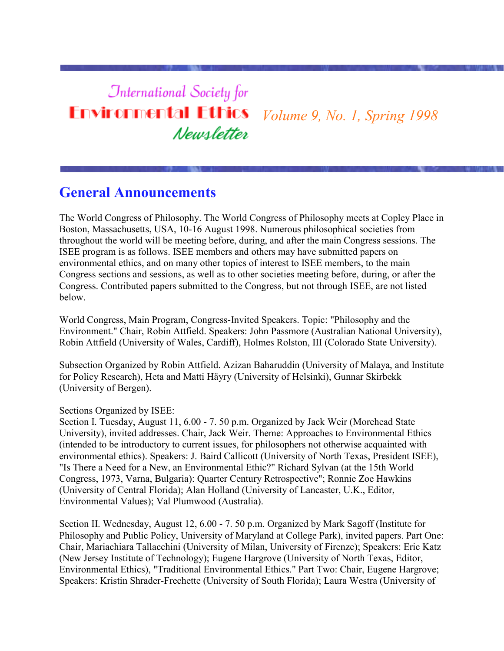# **International Society for Environmental Ethics** *Volume 9, No. 1, Spring 1998* Newsletter

# **General Announcements**

The World Congress of Philosophy. The World Congress of Philosophy meets at Copley Place in Boston, Massachusetts, USA, 10-16 August 1998. Numerous philosophical societies from throughout the world will be meeting before, during, and after the main Congress sessions. The ISEE program is as follows. ISEE members and others may have submitted papers on environmental ethics, and on many other topics of interest to ISEE members, to the main Congress sections and sessions, as well as to other societies meeting before, during, or after the Congress. Contributed papers submitted to the Congress, but not through ISEE, are not listed below.

World Congress, Main Program, Congress-Invited Speakers. Topic: "Philosophy and the Environment." Chair, Robin Attfield. Speakers: John Passmore (Australian National University), Robin Attfield (University of Wales, Cardiff), Holmes Rolston, III (Colorado State University).

Subsection Organized by Robin Attfield. Azizan Baharuddin (University of Malaya, and Institute for Policy Research), Heta and Matti Häyry (University of Helsinki), Gunnar Skirbekk (University of Bergen).

Sections Organized by ISEE:

Section I. Tuesday, August 11, 6.00 - 7. 50 p.m. Organized by Jack Weir (Morehead State University), invited addresses. Chair, Jack Weir. Theme: Approaches to Environmental Ethics (intended to be introductory to current issues, for philosophers not otherwise acquainted with environmental ethics). Speakers: J. Baird Callicott (University of North Texas, President ISEE), "Is There a Need for a New, an Environmental Ethic?" Richard Sylvan (at the 15th World Congress, 1973, Varna, Bulgaria): Quarter Century Retrospective"; Ronnie Zoe Hawkins (University of Central Florida); Alan Holland (University of Lancaster, U.K., Editor, Environmental Values); Val Plumwood (Australia).

Section II. Wednesday, August 12, 6.00 - 7. 50 p.m. Organized by Mark Sagoff (Institute for Philosophy and Public Policy, University of Maryland at College Park), invited papers. Part One: Chair, Mariachiara Tallacchini (University of Milan, University of Firenze); Speakers: Eric Katz (New Jersey Institute of Technology); Eugene Hargrove (University of North Texas, Editor, Environmental Ethics), "Traditional Environmental Ethics." Part Two: Chair, Eugene Hargrove; Speakers: Kristin Shrader-Frechette (University of South Florida); Laura Westra (University of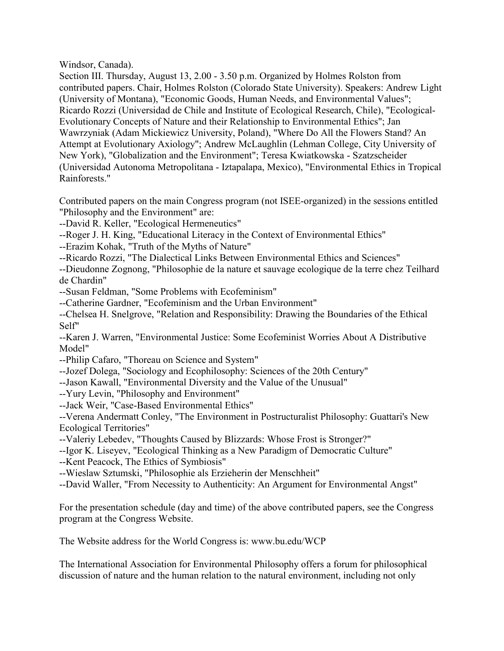Windsor, Canada).

Section III. Thursday, August 13, 2.00 - 3.50 p.m. Organized by Holmes Rolston from contributed papers. Chair, Holmes Rolston (Colorado State University). Speakers: Andrew Light (University of Montana), "Economic Goods, Human Needs, and Environmental Values"; Ricardo Rozzi (Universidad de Chile and Institute of Ecological Research, Chile), "Ecological-Evolutionary Concepts of Nature and their Relationship to Environmental Ethics"; Jan Wawrzyniak (Adam Mickiewicz University, Poland), "Where Do All the Flowers Stand? An Attempt at Evolutionary Axiology"; Andrew McLaughlin (Lehman College, City University of New York), "Globalization and the Environment"; Teresa Kwiatkowska - Szatzscheider (Universidad Autonoma Metropolitana - Iztapalapa, Mexico), "Environmental Ethics in Tropical Rainforests."

Contributed papers on the main Congress program (not ISEE-organized) in the sessions entitled "Philosophy and the Environment" are:

- --David R. Keller, "Ecological Hermeneutics"
- --Roger J. H. King, "Educational Literacy in the Context of Environmental Ethics"
- --Erazim Kohak, "Truth of the Myths of Nature"
- --Ricardo Rozzi, "The Dialectical Links Between Environmental Ethics and Sciences"

--Dieudonne Zognong, "Philosophie de la nature et sauvage ecologique de la terre chez Teilhard de Chardin"

--Susan Feldman, "Some Problems with Ecofeminism"

--Catherine Gardner, "Ecofeminism and the Urban Environment"

--Chelsea H. Snelgrove, "Relation and Responsibility: Drawing the Boundaries of the Ethical Self"

--Karen J. Warren, "Environmental Justice: Some Ecofeminist Worries About A Distributive Model"

- --Philip Cafaro, "Thoreau on Science and System"
- --Jozef Dolega, "Sociology and Ecophilosophy: Sciences of the 20th Century"
- --Jason Kawall, "Environmental Diversity and the Value of the Unusual"
- --Yury Levin, "Philosophy and Environment"
- --Jack Weir, "Case-Based Environmental Ethics"

--Verena Andermatt Conley, "The Environment in Postructuralist Philosophy: Guattari's New Ecological Territories"

- --Valeriy Lebedev, "Thoughts Caused by Blizzards: Whose Frost is Stronger?"
- --Igor K. Liseyev, "Ecological Thinking as a New Paradigm of Democratic Culture"
- --Kent Peacock, The Ethics of Symbiosis"
- --Wieslaw Sztumski, "Philosophie als Erzieherin der Menschheit"
- --David Waller, "From Necessity to Authenticity: An Argument for Environmental Angst"

For the presentation schedule (day and time) of the above contributed papers, see the Congress program at the Congress Website.

The Website address for the World Congress is: www.bu.edu/WCP

The International Association for Environmental Philosophy offers a forum for philosophical discussion of nature and the human relation to the natural environment, including not only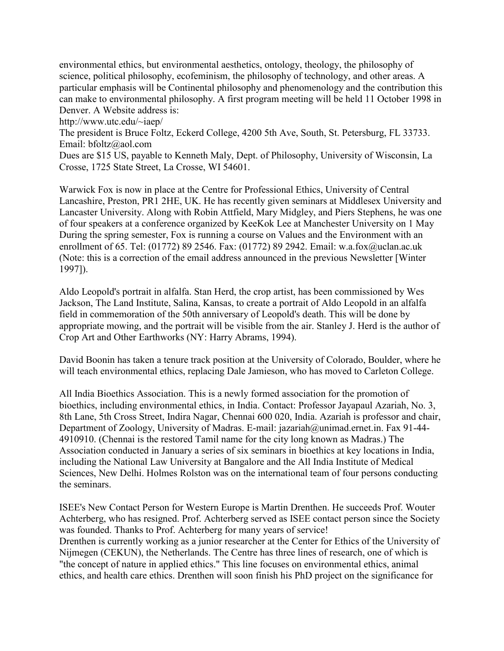environmental ethics, but environmental aesthetics, ontology, theology, the philosophy of science, political philosophy, ecofeminism, the philosophy of technology, and other areas. A particular emphasis will be Continental philosophy and phenomenology and the contribution this can make to environmental philosophy. A first program meeting will be held 11 October 1998 in Denver. A Website address is:

http://www.utc.edu/~iaep/

The president is Bruce Foltz, Eckerd College, 4200 5th Ave, South, St. Petersburg, FL 33733. Email: bfoltz@aol.com

Dues are \$15 US, payable to Kenneth Maly, Dept. of Philosophy, University of Wisconsin, La Crosse, 1725 State Street, La Crosse, WI 54601.

Warwick Fox is now in place at the Centre for Professional Ethics, University of Central Lancashire, Preston, PR1 2HE, UK. He has recently given seminars at Middlesex University and Lancaster University. Along with Robin Attfield, Mary Midgley, and Piers Stephens, he was one of four speakers at a conference organized by KeeKok Lee at Manchester University on 1 May During the spring semester, Fox is running a course on Values and the Environment with an enrollment of 65. Tel: (01772) 89 2546. Fax: (01772) 89 2942. Email: w.a.fox@uclan.ac.uk (Note: this is a correction of the email address announced in the previous Newsletter [Winter 1997]).

Aldo Leopold's portrait in alfalfa. Stan Herd, the crop artist, has been commissioned by Wes Jackson, The Land Institute, Salina, Kansas, to create a portrait of Aldo Leopold in an alfalfa field in commemoration of the 50th anniversary of Leopold's death. This will be done by appropriate mowing, and the portrait will be visible from the air. Stanley J. Herd is the author of Crop Art and Other Earthworks (NY: Harry Abrams, 1994).

David Boonin has taken a tenure track position at the University of Colorado, Boulder, where he will teach environmental ethics, replacing Dale Jamieson, who has moved to Carleton College.

All India Bioethics Association. This is a newly formed association for the promotion of bioethics, including environmental ethics, in India. Contact: Professor Jayapaul Azariah, No. 3, 8th Lane, 5th Cross Street, Indira Nagar, Chennai 600 020, India. Azariah is professor and chair, Department of Zoology, University of Madras. E-mail: jazariah@unimad.ernet.in. Fax 91-44- 4910910. (Chennai is the restored Tamil name for the city long known as Madras.) The Association conducted in January a series of six seminars in bioethics at key locations in India, including the National Law University at Bangalore and the All India Institute of Medical Sciences, New Delhi. Holmes Rolston was on the international team of four persons conducting the seminars.

ISEE's New Contact Person for Western Europe is Martin Drenthen. He succeeds Prof. Wouter Achterberg, who has resigned. Prof. Achterberg served as ISEE contact person since the Society was founded. Thanks to Prof. Achterberg for many years of service! Drenthen is currently working as a junior researcher at the Center for Ethics of the University of Nijmegen (CEKUN), the Netherlands. The Centre has three lines of research, one of which is "the concept of nature in applied ethics." This line focuses on environmental ethics, animal ethics, and health care ethics. Drenthen will soon finish his PhD project on the significance for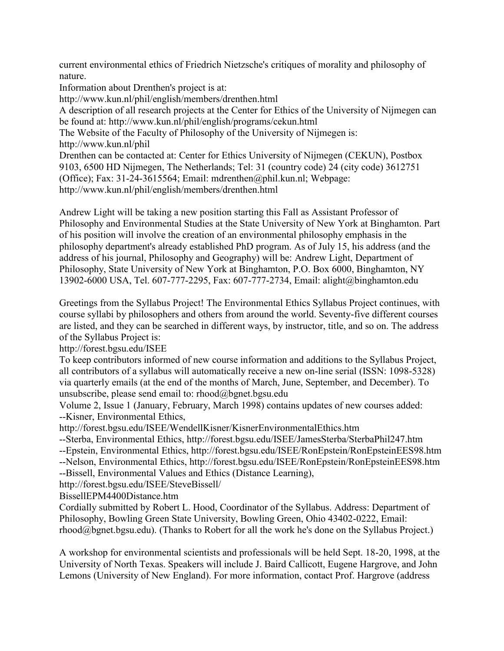current environmental ethics of Friedrich Nietzsche's critiques of morality and philosophy of nature.

Information about Drenthen's project is at: http://www.kun.nl/phil/english/members/drenthen.html A description of all research projects at the Center for Ethics of the University of Nijmegen can be found at: http://www.kun.nl/phil/english/programs/cekun.html The Website of the Faculty of Philosophy of the University of Nijmegen is: http://www.kun.nl/phil Drenthen can be contacted at: Center for Ethics University of Nijmegen (CEKUN), Postbox 9103, 6500 HD Nijmegen, The Netherlands; Tel: 31 (country code) 24 (city code) 3612751 (Office); Fax: 31-24-3615564; Email: mdrenthen@phil.kun.nl; Webpage: http://www.kun.nl/phil/english/members/drenthen.html

Andrew Light will be taking a new position starting this Fall as Assistant Professor of Philosophy and Environmental Studies at the State University of New York at Binghamton. Part of his position will involve the creation of an environmental philosophy emphasis in the philosophy department's already established PhD program. As of July 15, his address (and the address of his journal, Philosophy and Geography) will be: Andrew Light, Department of Philosophy, State University of New York at Binghamton, P.O. Box 6000, Binghamton, NY 13902-6000 USA, Tel. 607-777-2295, Fax: 607-777-2734, Email: alight@binghamton.edu

Greetings from the Syllabus Project! The Environmental Ethics Syllabus Project continues, with course syllabi by philosophers and others from around the world. Seventy-five different courses are listed, and they can be searched in different ways, by instructor, title, and so on. The address of the Syllabus Project is:

http://forest.bgsu.edu/ISEE

To keep contributors informed of new course information and additions to the Syllabus Project, all contributors of a syllabus will automatically receive a new on-line serial (ISSN: 1098-5328) via quarterly emails (at the end of the months of March, June, September, and December). To unsubscribe, please send email to: rhood@bgnet.bgsu.edu

Volume 2, Issue 1 (January, February, March 1998) contains updates of new courses added: --Kisner, Environmental Ethics,

http://forest.bgsu.edu/ISEE/WendellKisner/KisnerEnvironmentalEthics.htm

- --Sterba, Environmental Ethics, http://forest.bgsu.edu/ISEE/JamesSterba/SterbaPhil247.htm
- --Epstein, Environmental Ethics, http://forest.bgsu.edu/ISEE/RonEpstein/RonEpsteinEES98.htm
- --Nelson, Environmental Ethics, http://forest.bgsu.edu/ISEE/RonEpstein/RonEpsteinEES98.htm

--Bissell, Environmental Values and Ethics (Distance Learning),

http://forest.bgsu.edu/ISEE/SteveBissell/

BissellEPM4400Distance.htm

Cordially submitted by Robert L. Hood, Coordinator of the Syllabus. Address: Department of Philosophy, Bowling Green State University, Bowling Green, Ohio 43402-0222, Email: rhood@bgnet.bgsu.edu). (Thanks to Robert for all the work he's done on the Syllabus Project.)

A workshop for environmental scientists and professionals will be held Sept. 18-20, 1998, at the University of North Texas. Speakers will include J. Baird Callicott, Eugene Hargrove, and John Lemons (University of New England). For more information, contact Prof. Hargrove (address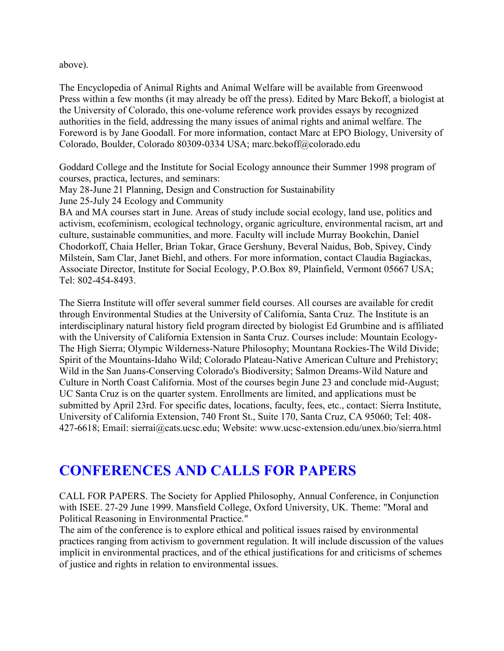above).

The Encyclopedia of Animal Rights and Animal Welfare will be available from Greenwood Press within a few months (it may already be off the press). Edited by Marc Bekoff, a biologist at the University of Colorado, this one-volume reference work provides essays by recognized authorities in the field, addressing the many issues of animal rights and animal welfare. The Foreword is by Jane Goodall. For more information, contact Marc at EPO Biology, University of Colorado, Boulder, Colorado 80309-0334 USA; marc.bekoff@colorado.edu

Goddard College and the Institute for Social Ecology announce their Summer 1998 program of courses, practica, lectures, and seminars:

May 28-June 21 Planning, Design and Construction for Sustainability

June 25-July 24 Ecology and Community

BA and MA courses start in June. Areas of study include social ecology, land use, politics and activism, ecofeminism, ecological technology, organic agriculture, environmental racism, art and culture, sustainable communities, and more. Faculty will include Murray Bookchin, Daniel Chodorkoff, Chaia Heller, Brian Tokar, Grace Gershuny, Beveral Naidus, Bob, Spivey, Cindy Milstein, Sam Clar, Janet Biehl, and others. For more information, contact Claudia Bagiackas, Associate Director, Institute for Social Ecology, P.O.Box 89, Plainfield, Vermont 05667 USA; Tel: 802-454-8493.

The Sierra Institute will offer several summer field courses. All courses are available for credit through Environmental Studies at the University of California, Santa Cruz. The Institute is an interdisciplinary natural history field program directed by biologist Ed Grumbine and is affiliated with the University of California Extension in Santa Cruz. Courses include: Mountain Ecology-The High Sierra; Olympic Wilderness-Nature Philosophy; Mountana Rockies-The Wild Divide; Spirit of the Mountains-Idaho Wild; Colorado Plateau-Native American Culture and Prehistory; Wild in the San Juans-Conserving Colorado's Biodiversity; Salmon Dreams-Wild Nature and Culture in North Coast California. Most of the courses begin June 23 and conclude mid-August; UC Santa Cruz is on the quarter system. Enrollments are limited, and applications must be submitted by April 23rd. For specific dates, locations, faculty, fees, etc., contact: Sierra Institute, University of California Extension, 740 Front St., Suite 170, Santa Cruz, CA 95060; Tel: 408- 427-6618; Email: sierrai@cats.ucsc.edu; Website: www.ucsc-extension.edu/unex.bio/sierra.html

# **CONFERENCES AND CALLS FOR PAPERS**

CALL FOR PAPERS. The Society for Applied Philosophy, Annual Conference, in Conjunction with ISEE. 27-29 June 1999. Mansfield College, Oxford University, UK. Theme: "Moral and Political Reasoning in Environmental Practice."

The aim of the conference is to explore ethical and political issues raised by environmental practices ranging from activism to government regulation. It will include discussion of the values implicit in environmental practices, and of the ethical justifications for and criticisms of schemes of justice and rights in relation to environmental issues.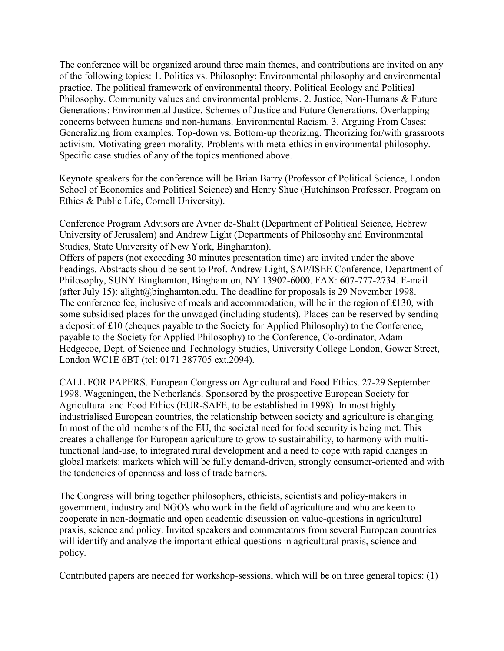The conference will be organized around three main themes, and contributions are invited on any of the following topics: 1. Politics vs. Philosophy: Environmental philosophy and environmental practice. The political framework of environmental theory. Political Ecology and Political Philosophy. Community values and environmental problems. 2. Justice, Non-Humans & Future Generations: Environmental Justice. Schemes of Justice and Future Generations. Overlapping concerns between humans and non-humans. Environmental Racism. 3. Arguing From Cases: Generalizing from examples. Top-down vs. Bottom-up theorizing. Theorizing for/with grassroots activism. Motivating green morality. Problems with meta-ethics in environmental philosophy. Specific case studies of any of the topics mentioned above.

Keynote speakers for the conference will be Brian Barry (Professor of Political Science, London School of Economics and Political Science) and Henry Shue (Hutchinson Professor, Program on Ethics & Public Life, Cornell University).

Conference Program Advisors are Avner de-Shalit (Department of Political Science, Hebrew University of Jerusalem) and Andrew Light (Departments of Philosophy and Environmental Studies, State University of New York, Binghamton).

Offers of papers (not exceeding 30 minutes presentation time) are invited under the above headings. Abstracts should be sent to Prof. Andrew Light, SAP/ISEE Conference, Department of Philosophy, SUNY Binghamton, Binghamton, NY 13902-6000. FAX: 607-777-2734. E-mail (after July 15): alight@binghamton.edu. The deadline for proposals is 29 November 1998. The conference fee, inclusive of meals and accommodation, will be in the region of £130, with some subsidised places for the unwaged (including students). Places can be reserved by sending a deposit of £10 (cheques payable to the Society for Applied Philosophy) to the Conference, payable to the Society for Applied Philosophy) to the Conference, Co-ordinator, Adam Hedgecoe, Dept. of Science and Technology Studies, University College London, Gower Street, London WC1E 6BT (tel: 0171 387705 ext.2094).

CALL FOR PAPERS. European Congress on Agricultural and Food Ethics. 27-29 September 1998. Wageningen, the Netherlands. Sponsored by the prospective European Society for Agricultural and Food Ethics (EUR-SAFE, to be established in 1998). In most highly industrialised European countries, the relationship between society and agriculture is changing. In most of the old members of the EU, the societal need for food security is being met. This creates a challenge for European agriculture to grow to sustainability, to harmony with multifunctional land-use, to integrated rural development and a need to cope with rapid changes in global markets: markets which will be fully demand-driven, strongly consumer-oriented and with the tendencies of openness and loss of trade barriers.

The Congress will bring together philosophers, ethicists, scientists and policy-makers in government, industry and NGO's who work in the field of agriculture and who are keen to cooperate in non-dogmatic and open academic discussion on value-questions in agricultural praxis, science and policy. Invited speakers and commentators from several European countries will identify and analyze the important ethical questions in agricultural praxis, science and policy.

Contributed papers are needed for workshop-sessions, which will be on three general topics: (1)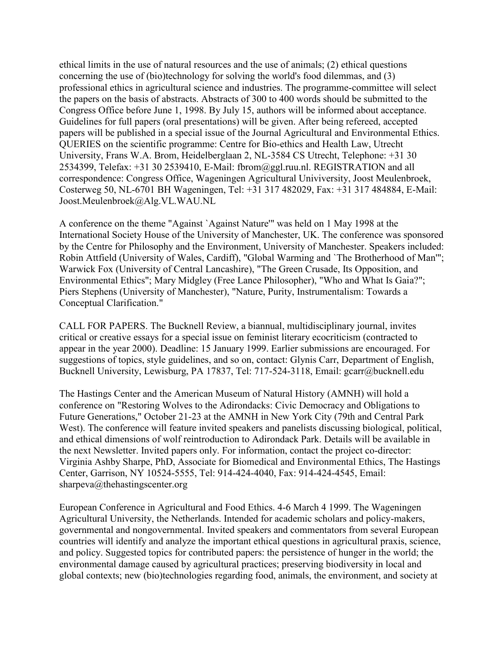ethical limits in the use of natural resources and the use of animals; (2) ethical questions concerning the use of (bio)technology for solving the world's food dilemmas, and (3) professional ethics in agricultural science and industries. The programme-committee will select the papers on the basis of abstracts. Abstracts of 300 to 400 words should be submitted to the Congress Office before June 1, 1998. By July 15, authors will be informed about acceptance. Guidelines for full papers (oral presentations) will be given. After being refereed, accepted papers will be published in a special issue of the Journal Agricultural and Environmental Ethics. QUERIES on the scientific programme: Centre for Bio-ethics and Health Law, Utrecht University, Frans W.A. Brom, Heidelberglaan 2, NL-3584 CS Utrecht, Telephone: +31 30 2534399, Telefax: +31 30 2539410, E-Mail: fbrom@ggl.ruu.nl. REGISTRATION and all correspondence: Congress Office, Wageningen Agricultural Univiversity, Joost Meulenbroek, Costerweg 50, NL-6701 BH Wageningen, Tel: +31 317 482029, Fax: +31 317 484884, E-Mail: Joost.Meulenbroek@Alg.VL.WAU.NL

A conference on the theme "Against `Against Nature'" was held on 1 May 1998 at the International Society House of the University of Manchester, UK. The conference was sponsored by the Centre for Philosophy and the Environment, University of Manchester. Speakers included: Robin Attfield (University of Wales, Cardiff), "Global Warming and `The Brotherhood of Man'"; Warwick Fox (University of Central Lancashire), "The Green Crusade, Its Opposition, and Environmental Ethics"; Mary Midgley (Free Lance Philosopher), "Who and What Is Gaia?"; Piers Stephens (University of Manchester), "Nature, Purity, Instrumentalism: Towards a Conceptual Clarification."

CALL FOR PAPERS. The Bucknell Review, a biannual, multidisciplinary journal, invites critical or creative essays for a special issue on feminist literary ecocriticism (contracted to appear in the year 2000). Deadline: 15 January 1999. Earlier submissions are encouraged. For suggestions of topics, style guidelines, and so on, contact: Glynis Carr, Department of English, Bucknell University, Lewisburg, PA 17837, Tel: 717-524-3118, Email: gcarr@bucknell.edu

The Hastings Center and the American Museum of Natural History (AMNH) will hold a conference on "Restoring Wolves to the Adirondacks: Civic Democracy and Obligations to Future Generations," October 21-23 at the AMNH in New York City (79th and Central Park West). The conference will feature invited speakers and panelists discussing biological, political, and ethical dimensions of wolf reintroduction to Adirondack Park. Details will be available in the next Newsletter. Invited papers only. For information, contact the project co-director: Virginia Ashby Sharpe, PhD, Associate for Biomedical and Environmental Ethics, The Hastings Center, Garrison, NY 10524-5555, Tel: 914-424-4040, Fax: 914-424-4545, Email: sharpeva@thehastingscenter.org

European Conference in Agricultural and Food Ethics. 4-6 March 4 1999. The Wageningen Agricultural University, the Netherlands. Intended for academic scholars and policy-makers, governmental and nongovernmental. Invited speakers and commentators from several European countries will identify and analyze the important ethical questions in agricultural praxis, science, and policy. Suggested topics for contributed papers: the persistence of hunger in the world; the environmental damage caused by agricultural practices; preserving biodiversity in local and global contexts; new (bio)technologies regarding food, animals, the environment, and society at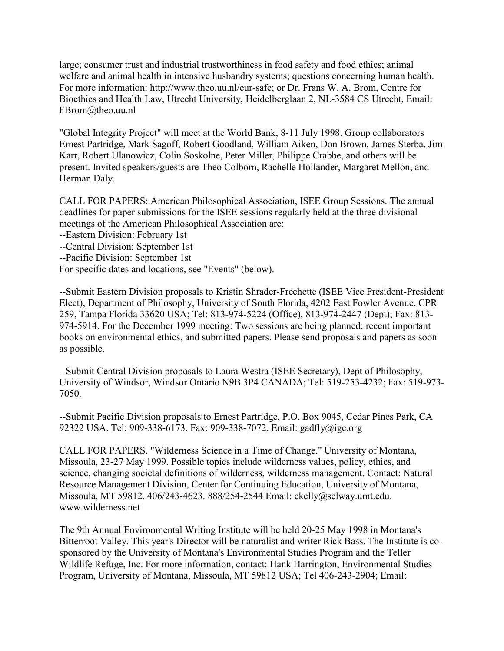large; consumer trust and industrial trustworthiness in food safety and food ethics; animal welfare and animal health in intensive husbandry systems; questions concerning human health. For more information: http://www.theo.uu.nl/eur-safe; or Dr. Frans W. A. Brom, Centre for Bioethics and Health Law, Utrecht University, Heidelberglaan 2, NL-3584 CS Utrecht, Email: FBrom@theo.uu.nl

"Global Integrity Project" will meet at the World Bank, 8-11 July 1998. Group collaborators Ernest Partridge, Mark Sagoff, Robert Goodland, William Aiken, Don Brown, James Sterba, Jim Karr, Robert Ulanowicz, Colin Soskolne, Peter Miller, Philippe Crabbe, and others will be present. Invited speakers/guests are Theo Colborn, Rachelle Hollander, Margaret Mellon, and Herman Daly.

CALL FOR PAPERS: American Philosophical Association, ISEE Group Sessions. The annual deadlines for paper submissions for the ISEE sessions regularly held at the three divisional meetings of the American Philosophical Association are:

--Eastern Division: February 1st

--Central Division: September 1st

--Pacific Division: September 1st

For specific dates and locations, see "Events" (below).

--Submit Eastern Division proposals to Kristin Shrader-Frechette (ISEE Vice President-President Elect), Department of Philosophy, University of South Florida, 4202 East Fowler Avenue, CPR 259, Tampa Florida 33620 USA; Tel: 813-974-5224 (Office), 813-974-2447 (Dept); Fax: 813- 974-5914. For the December 1999 meeting: Two sessions are being planned: recent important books on environmental ethics, and submitted papers. Please send proposals and papers as soon as possible.

--Submit Central Division proposals to Laura Westra (ISEE Secretary), Dept of Philosophy, University of Windsor, Windsor Ontario N9B 3P4 CANADA; Tel: 519-253-4232; Fax: 519-973- 7050.

--Submit Pacific Division proposals to Ernest Partridge, P.O. Box 9045, Cedar Pines Park, CA 92322 USA. Tel: 909-338-6173. Fax: 909-338-7072. Email: gadfly@igc.org

CALL FOR PAPERS. "Wilderness Science in a Time of Change." University of Montana, Missoula, 23-27 May 1999. Possible topics include wilderness values, policy, ethics, and science, changing societal definitions of wilderness, wilderness management. Contact: Natural Resource Management Division, Center for Continuing Education, University of Montana, Missoula, MT 59812. 406/243-4623. 888/254-2544 Email: ckelly@selway.umt.edu. www.wilderness.net

The 9th Annual Environmental Writing Institute will be held 20-25 May 1998 in Montana's Bitterroot Valley. This year's Director will be naturalist and writer Rick Bass. The Institute is cosponsored by the University of Montana's Environmental Studies Program and the Teller Wildlife Refuge, Inc. For more information, contact: Hank Harrington, Environmental Studies Program, University of Montana, Missoula, MT 59812 USA; Tel 406-243-2904; Email: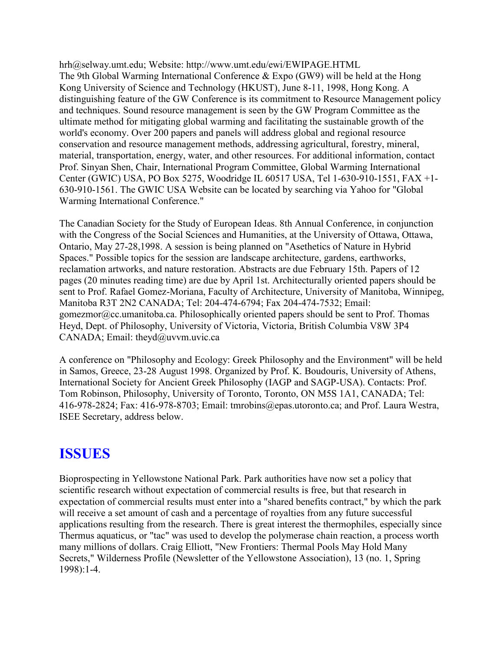hrh@selway.umt.edu; Website: http://www.umt.edu/ewi/EWIPAGE.HTML The 9th Global Warming International Conference & Expo (GW9) will be held at the Hong Kong University of Science and Technology (HKUST), June 8-11, 1998, Hong Kong. A distinguishing feature of the GW Conference is its commitment to Resource Management policy and techniques. Sound resource management is seen by the GW Program Committee as the ultimate method for mitigating global warming and facilitating the sustainable growth of the world's economy. Over 200 papers and panels will address global and regional resource conservation and resource management methods, addressing agricultural, forestry, mineral, material, transportation, energy, water, and other resources. For additional information, contact Prof. Sinyan Shen, Chair, International Program Committee, Global Warming International Center (GWIC) USA, PO Box 5275, Woodridge IL 60517 USA, Tel 1-630-910-1551, FAX +1- 630-910-1561. The GWIC USA Website can be located by searching via Yahoo for "Global Warming International Conference."

The Canadian Society for the Study of European Ideas. 8th Annual Conference, in conjunction with the Congress of the Social Sciences and Humanities, at the University of Ottawa, Ottawa, Ontario, May 27-28,1998. A session is being planned on "Asethetics of Nature in Hybrid Spaces." Possible topics for the session are landscape architecture, gardens, earthworks, reclamation artworks, and nature restoration. Abstracts are due February 15th. Papers of 12 pages (20 minutes reading time) are due by April 1st. Architecturally oriented papers should be sent to Prof. Rafael Gomez-Moriana, Faculty of Architecture, University of Manitoba, Winnipeg, Manitoba R3T 2N2 CANADA; Tel: 204-474-6794; Fax 204-474-7532; Email: gomezmor@cc.umanitoba.ca. Philosophically oriented papers should be sent to Prof. Thomas Heyd, Dept. of Philosophy, University of Victoria, Victoria, British Columbia V8W 3P4 CANADA; Email: theyd@uvvm.uvic.ca

A conference on "Philosophy and Ecology: Greek Philosophy and the Environment" will be held in Samos, Greece, 23-28 August 1998. Organized by Prof. K. Boudouris, University of Athens, International Society for Ancient Greek Philosophy (IAGP and SAGP-USA). Contacts: Prof. Tom Robinson, Philosophy, University of Toronto, Toronto, ON M5S 1A1, CANADA; Tel: 416-978-2824; Fax: 416-978-8703; Email: tmrobins@epas.utoronto.ca; and Prof. Laura Westra, ISEE Secretary, address below.

# **ISSUES**

Bioprospecting in Yellowstone National Park. Park authorities have now set a policy that scientific research without expectation of commercial results is free, but that research in expectation of commercial results must enter into a "shared benefits contract," by which the park will receive a set amount of cash and a percentage of royalties from any future successful applications resulting from the research. There is great interest the thermophiles, especially since Thermus aquaticus, or "tac" was used to develop the polymerase chain reaction, a process worth many millions of dollars. Craig Elliott, "New Frontiers: Thermal Pools May Hold Many Secrets," Wilderness Profile (Newsletter of the Yellowstone Association), 13 (no. 1, Spring 1998):1-4.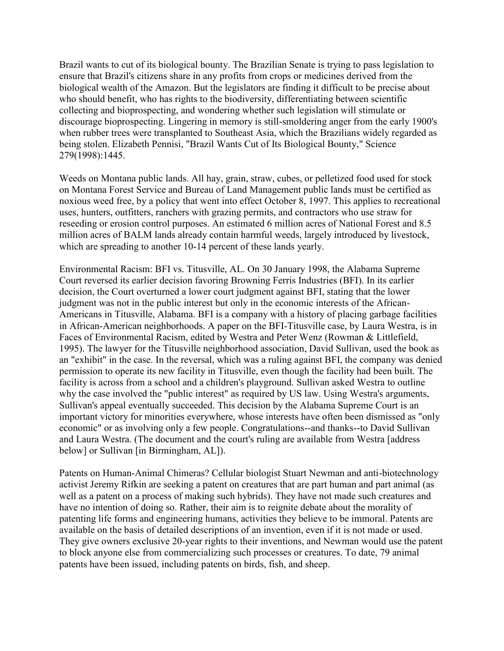Brazil wants to cut of its biological bounty. The Brazilian Senate is trying to pass legislation to ensure that Brazil's citizens share in any profits from crops or medicines derived from the biological wealth of the Amazon. But the legislators are finding it difficult to be precise about who should benefit, who has rights to the biodiversity, differentiating between scientific collecting and bioprospecting, and wondering whether such legislation will stimulate or discourage bioprospecting. Lingering in memory is still-smoldering anger from the early 1900's when rubber trees were transplanted to Southeast Asia, which the Brazilians widely regarded as being stolen. Elizabeth Pennisi, "Brazil Wants Cut of Its Biological Bounty," Science 279(1998):1445.

Weeds on Montana public lands. All hay, grain, straw, cubes, or pelletized food used for stock on Montana Forest Service and Bureau of Land Management public lands must be certified as noxious weed free, by a policy that went into effect October 8, 1997. This applies to recreational uses, hunters, outfitters, ranchers with grazing permits, and contractors who use straw for reseeding or erosion control purposes. An estimated 6 million acres of National Forest and 8.5 million acres of BALM lands already contain harmful weeds, largely introduced by livestock, which are spreading to another 10-14 percent of these lands yearly.

Environmental Racism: BFI vs. Titusville, AL. On 30 January 1998, the Alabama Supreme Court reversed its earlier decision favoring Browning Ferris Industries (BFI). In its earlier decision, the Court overturned a lower court judgment against BFI, stating that the lower judgment was not in the public interest but only in the economic interests of the African-Americans in Titusville, Alabama. BFI is a company with a history of placing garbage facilities in African-American neighborhoods. A paper on the BFI-Titusville case, by Laura Westra, is in Faces of Environmental Racism, edited by Westra and Peter Wenz (Rowman & Littlefield, 1995). The lawyer for the Titusville neighborhood association, David Sullivan, used the book as an "exhibit" in the case. In the reversal, which was a ruling against BFI, the company was denied permission to operate its new facility in Titusville, even though the facility had been built. The facility is across from a school and a children's playground. Sullivan asked Westra to outline why the case involved the "public interest" as required by US law. Using Westra's arguments, Sullivan's appeal eventually succeeded. This decision by the Alabama Supreme Court is an important victory for minorities everywhere, whose interests have often been dismissed as "only economic" or as involving only a few people. Congratulations--and thanks--to David Sullivan and Laura Westra. (The document and the court's ruling are available from Westra [address below] or Sullivan [in Birmingham, AL]).

Patents on Human-Animal Chimeras? Cellular biologist Stuart Newman and anti-biotechnology activist Jeremy Rifkin are seeking a patent on creatures that are part human and part animal (as well as a patent on a process of making such hybrids). They have not made such creatures and have no intention of doing so. Rather, their aim is to reignite debate about the morality of patenting life forms and engineering humans, activities they believe to be immoral. Patents are available on the basis of detailed descriptions of an invention, even if it is not made or used. They give owners exclusive 20-year rights to their inventions, and Newman would use the patent to block anyone else from commercializing such processes or creatures. To date, 79 animal patents have been issued, including patents on birds, fish, and sheep.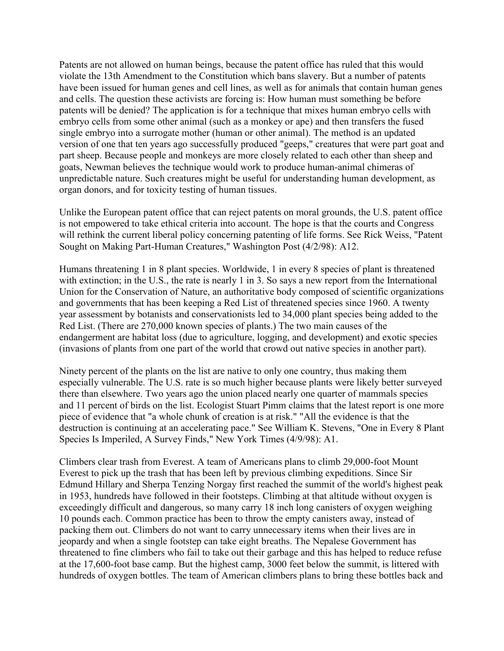Patents are not allowed on human beings, because the patent office has ruled that this would violate the 13th Amendment to the Constitution which bans slavery. But a number of patents have been issued for human genes and cell lines, as well as for animals that contain human genes and cells. The question these activists are forcing is: How human must something be before patents will be denied? The application is for a technique that mixes human embryo cells with embryo cells from some other animal (such as a monkey or ape) and then transfers the fused single embryo into a surrogate mother (human or other animal). The method is an updated version of one that ten years ago successfully produced "geeps," creatures that were part goat and part sheep. Because people and monkeys are more closely related to each other than sheep and goats, Newman believes the technique would work to produce human-animal chimeras of unpredictable nature. Such creatures might be useful for understanding human development, as organ donors, and for toxicity testing of human tissues.

Unlike the European patent office that can reject patents on moral grounds, the U.S. patent office is not empowered to take ethical criteria into account. The hope is that the courts and Congress will rethink the current liberal policy concerning patenting of life forms. See Rick Weiss, "Patent" Sought on Making Part-Human Creatures," Washington Post (4/2/98): A12.

Humans threatening 1 in 8 plant species. Worldwide, 1 in every 8 species of plant is threatened with extinction; in the U.S., the rate is nearly 1 in 3. So says a new report from the International Union for the Conservation of Nature, an authoritative body composed of scientific organizations and governments that has been keeping a Red List of threatened species since 1960. A twenty year assessment by botanists and conservationists led to 34,000 plant species being added to the Red List. (There are 270,000 known species of plants.) The two main causes of the endangerment are habitat loss (due to agriculture, logging, and development) and exotic species (invasions of plants from one part of the world that crowd out native species in another part).

Ninety percent of the plants on the list are native to only one country, thus making them especially vulnerable. The U.S. rate is so much higher because plants were likely better surveyed there than elsewhere. Two years ago the union placed nearly one quarter of mammals species and 11 percent of birds on the list. Ecologist Stuart Pimm claims that the latest report is one more piece of evidence that "a whole chunk of creation is at risk." "All the evidence is that the destruction is continuing at an accelerating pace." See William K. Stevens, "One in Every 8 Plant Species Is Imperiled, A Survey Finds," New York Times (4/9/98): A1.

Climbers clear trash from Everest. A team of Americans plans to climb 29,000-foot Mount Everest to pick up the trash that has been left by previous climbing expeditions. Since Sir Edmund Hillary and Sherpa Tenzing Norgay first reached the summit of the world's highest peak in 1953, hundreds have followed in their footsteps. Climbing at that altitude without oxygen is exceedingly difficult and dangerous, so many carry 18 inch long canisters of oxygen weighing 10 pounds each. Common practice has been to throw the empty canisters away, instead of packing them out. Climbers do not want to carry unnecessary items when their lives are in jeopardy and when a single footstep can take eight breaths. The Nepalese Government has threatened to fine climbers who fail to take out their garbage and this has helped to reduce refuse at the 17,600-foot base camp. But the highest camp, 3000 feet below the summit, is littered with hundreds of oxygen bottles. The team of American climbers plans to bring these bottles back and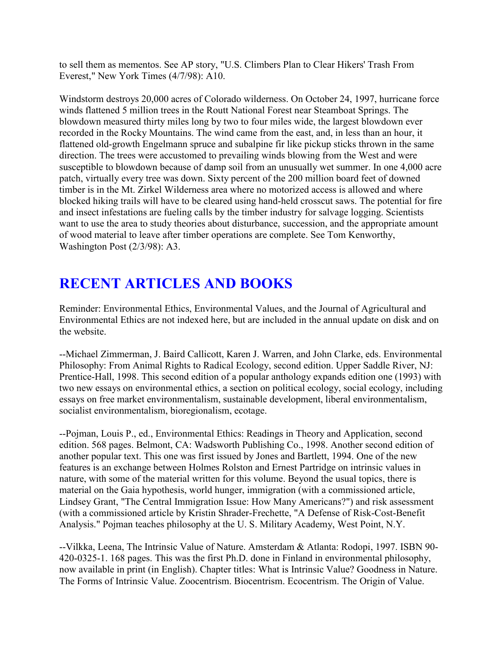to sell them as mementos. See AP story, "U.S. Climbers Plan to Clear Hikers' Trash From Everest," New York Times (4/7/98): A10.

Windstorm destroys 20,000 acres of Colorado wilderness. On October 24, 1997, hurricane force winds flattened 5 million trees in the Routt National Forest near Steamboat Springs. The blowdown measured thirty miles long by two to four miles wide, the largest blowdown ever recorded in the Rocky Mountains. The wind came from the east, and, in less than an hour, it flattened old-growth Engelmann spruce and subalpine fir like pickup sticks thrown in the same direction. The trees were accustomed to prevailing winds blowing from the West and were susceptible to blowdown because of damp soil from an unusually wet summer. In one 4,000 acre patch, virtually every tree was down. Sixty percent of the 200 million board feet of downed timber is in the Mt. Zirkel Wilderness area where no motorized access is allowed and where blocked hiking trails will have to be cleared using hand-held crosscut saws. The potential for fire and insect infestations are fueling calls by the timber industry for salvage logging. Scientists want to use the area to study theories about disturbance, succession, and the appropriate amount of wood material to leave after timber operations are complete. See Tom Kenworthy, Washington Post (2/3/98): A3.

# **RECENT ARTICLES AND BOOKS**

Reminder: Environmental Ethics, Environmental Values, and the Journal of Agricultural and Environmental Ethics are not indexed here, but are included in the annual update on disk and on the website.

--Michael Zimmerman, J. Baird Callicott, Karen J. Warren, and John Clarke, eds. Environmental Philosophy: From Animal Rights to Radical Ecology, second edition. Upper Saddle River, NJ: Prentice-Hall, 1998. This second edition of a popular anthology expands edition one (1993) with two new essays on environmental ethics, a section on political ecology, social ecology, including essays on free market environmentalism, sustainable development, liberal environmentalism, socialist environmentalism, bioregionalism, ecotage.

--Pojman, Louis P., ed., Environmental Ethics: Readings in Theory and Application, second edition. 568 pages. Belmont, CA: Wadsworth Publishing Co., 1998. Another second edition of another popular text. This one was first issued by Jones and Bartlett, 1994. One of the new features is an exchange between Holmes Rolston and Ernest Partridge on intrinsic values in nature, with some of the material written for this volume. Beyond the usual topics, there is material on the Gaia hypothesis, world hunger, immigration (with a commissioned article, Lindsey Grant, "The Central Immigration Issue: How Many Americans?") and risk assessment (with a commissioned article by Kristin Shrader-Frechette, "A Defense of Risk-Cost-Benefit Analysis." Pojman teaches philosophy at the U. S. Military Academy, West Point, N.Y.

--Vilkka, Leena, The Intrinsic Value of Nature. Amsterdam & Atlanta: Rodopi, 1997. ISBN 90- 420-0325-1. 168 pages. This was the first Ph.D. done in Finland in environmental philosophy, now available in print (in English). Chapter titles: What is Intrinsic Value? Goodness in Nature. The Forms of Intrinsic Value. Zoocentrism. Biocentrism. Ecocentrism. The Origin of Value.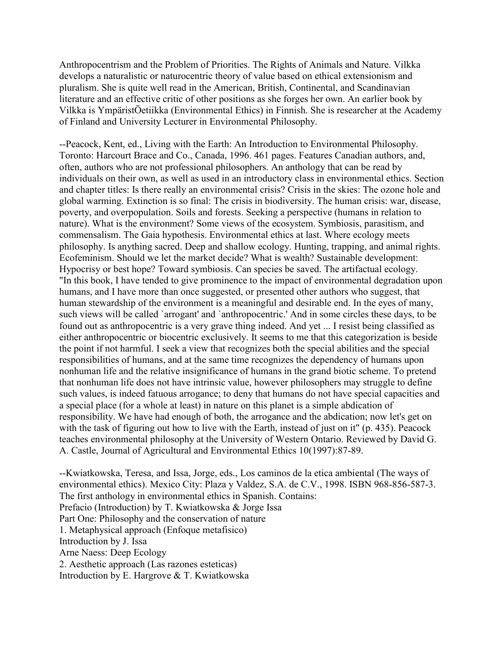Anthropocentrism and the Problem of Priorities. The Rights of Animals and Nature. Vilkka develops a naturalistic or naturocentric theory of value based on ethical extensionism and pluralism. She is quite well read in the American, British, Continental, and Scandinavian literature and an effective critic of other positions as she forges her own. An earlier book by Vilkka is YmpäristÖetiikka (Environmental Ethics) in Finnish. She is researcher at the Academy of Finland and University Lecturer in Environmental Philosophy.

--Peacock, Kent, ed., Living with the Earth: An Introduction to Environmental Philosophy. Toronto: Harcourt Brace and Co., Canada, 1996. 461 pages. Features Canadian authors, and, often, authors who are not professional philosophers. An anthology that can be read by individuals on their own, as well as used in an introductory class in environmental ethics. Section and chapter titles: Is there really an environmental crisis? Crisis in the skies: The ozone hole and global warming. Extinction is so final: The crisis in biodiversity. The human crisis: war, disease, poverty, and overpopulation. Soils and forests. Seeking a perspective (humans in relation to nature). What is the environment? Some views of the ecosystem. Symbiosis, parasitism, and commensalism. The Gaia hypothesis. Environmental ethics at last. Where ecology meets philosophy. Is anything sacred. Deep and shallow ecology. Hunting, trapping, and animal rights. Ecofeminism. Should we let the market decide? What is wealth? Sustainable development: Hypocrisy or best hope? Toward symbiosis. Can species be saved. The artifactual ecology. "In this book, I have tended to give prominence to the impact of environmental degradation upon humans, and I have more than once suggested, or presented other authors who suggest, that human stewardship of the environment is a meaningful and desirable end. In the eyes of many, such views will be called `arrogant' and `anthropocentric.' And in some circles these days, to be found out as anthropocentric is a very grave thing indeed. And yet ... I resist being classified as either anthropocentric or biocentric exclusively. It seems to me that this categorization is beside the point if not harmful. I seek a view that recognizes both the special abilities and the special responsibilities of humans, and at the same time recognizes the dependency of humans upon nonhuman life and the relative insignificance of humans in the grand biotic scheme. To pretend that nonhuman life does not have intrinsic value, however philosophers may struggle to define such values, is indeed fatuous arrogance; to deny that humans do not have special capacities and a special place (for a whole at least) in nature on this planet is a simple abdication of responsibility. We have had enough of both, the arrogance and the abdication; now let's get on with the task of figuring out how to live with the Earth, instead of just on it" (p. 435). Peacock teaches environmental philosophy at the University of Western Ontario. Reviewed by David G. A. Castle, Journal of Agricultural and Environmental Ethics 10(1997):87-89.

--Kwiatkowska, Teresa, and Issa, Jorge, eds., Los caminos de la etica ambiental (The ways of environmental ethics). Mexico City: Plaza y Valdez, S.A. de C.V., 1998. ISBN 968-856-587-3. The first anthology in environmental ethics in Spanish. Contains: Prefacio (Introduction) by T. Kwiatkowska & Jorge Issa Part One: Philosophy and the conservation of nature 1. Metaphysical approach (Enfoque metafisico) Introduction by J. Issa Arne Naess: Deep Ecology 2. Aesthetic approach (Las razones esteticas) Introduction by E. Hargrove & T. Kwiatkowska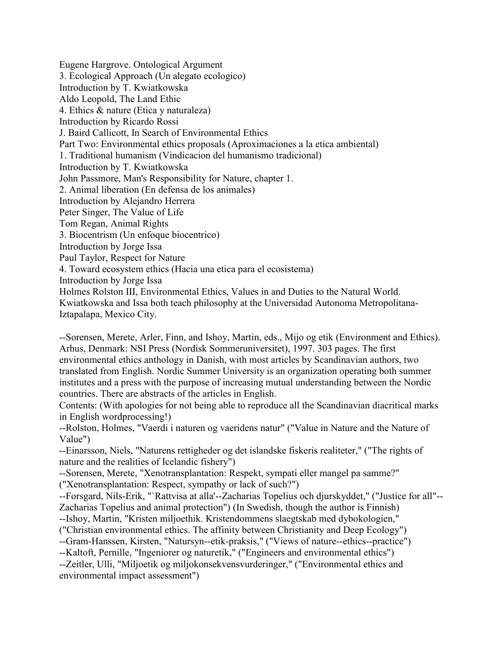Eugene Hargrove. Ontological Argument 3. Ecological Approach (Un alegato ecologico) Introduction by T. Kwiatkowska Aldo Leopold, The Land Ethic 4. Ethics & nature (Etica y naturaleza) Introduction by Ricardo Rossi J. Baird Callicott, In Search of Environmental Ethics Part Two: Environmental ethics proposals (Aproximaciones a la etica ambiental) 1. Traditional humanism (Vindicacion del humanismo tradicional) Introduction by T. Kwiatkowska John Passmore, Man's Responsibility for Nature, chapter 1. 2. Animal liberation (En defensa de los animales) Introduction by Alejandro Herrera Peter Singer, The Value of Life Tom Regan, Animal Rights 3. Biocentrism (Un enfoque biocentrico) Introduction by Jorge Issa Paul Taylor, Respect for Nature 4. Toward ecosystem ethics (Hacia una etica para el ecosistema) Introduction by Jorge Issa Holmes Rolston III, Environmental Ethics, Values in and Duties to the Natural World. Kwiatkowska and Issa both teach philosophy at the Universidad Autonoma Metropolitana-Iztapalapa, Mexico City.

--Sorensen, Merete, Arler, Finn, and Ishoy, Martin, eds., Mijo og etik (Environment and Ethics). Arhus, Denmark: NSI Press (Nordisk Sommeruniversitet), 1997. 303 pages. The first environmental ethics anthology in Danish, with most articles by Scandinavian authors, two translated from English. Nordic Summer University is an organization operating both summer institutes and a press with the purpose of increasing mutual understanding between the Nordic countries. There are abstracts of the articles in English.

Contents: (With apologies for not being able to reproduce all the Scandinavian diacritical marks in English wordprocessing!)

--Rolston, Holmes, "Vaerdi i naturen og vaeridens natur" ("Value in Nature and the Nature of Value")

--Einarsson, Niels, "Naturens rettigheder og det islandske fiskeris realiteter," ("The rights of nature and the realities of Icelandic fishery")

--Sorensen, Merete, "Xenotransplantation: Respekt, sympati eller mangel pa samme?" ("Xenotransplantation: Respect, sympathy or lack of such?")

--Forsgard, Nils-Erik, "`Rattvisa at alla'--Zacharias Topelius och djurskyddet," ("Justice for all"-- Zacharias Topelius and animal protection") (In Swedish, though the author is Finnish)

--Ishoy, Martin, "Kristen miljoethik. Kristendommens slaegtskab med dybokologien,"

("Christian environmental ethics. The affinity between Christianity and Deep Ecology")

--Gram-Hanssen, Kirsten, "Natursyn--etik-praksis," ("Views of nature--ethics--practice") --Kaltoft, Pernille, "Ingeniorer og naturetik," ("Engineers and environmental ethics") --Zeitler, Ulli, "Miljoetik og miljokonsekvensvurderinger," ("Environmental ethics and environmental impact assessment")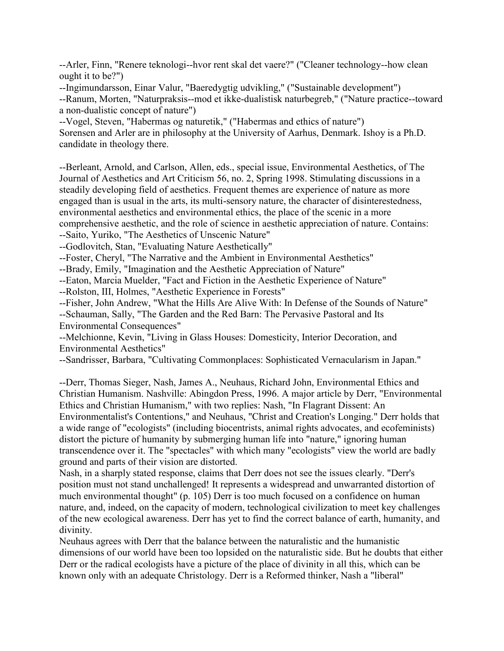--Arler, Finn, "Renere teknologi--hvor rent skal det vaere?" ("Cleaner technology--how clean ought it to be?")

--Ingimundarsson, Einar Valur, "Baeredygtig udvikling," ("Sustainable development") --Ranum, Morten, "Naturpraksis--mod et ikke-dualistisk naturbegreb," ("Nature practice--toward a non-dualistic concept of nature")

--Vogel, Steven, "Habermas og naturetik," ("Habermas and ethics of nature") Sorensen and Arler are in philosophy at the University of Aarhus, Denmark. Ishoy is a Ph.D. candidate in theology there.

--Berleant, Arnold, and Carlson, Allen, eds., special issue, Environmental Aesthetics, of The Journal of Aesthetics and Art Criticism 56, no. 2, Spring 1998. Stimulating discussions in a steadily developing field of aesthetics. Frequent themes are experience of nature as more engaged than is usual in the arts, its multi-sensory nature, the character of disinterestedness, environmental aesthetics and environmental ethics, the place of the scenic in a more comprehensive aesthetic, and the role of science in aesthetic appreciation of nature. Contains: --Saito, Yuriko, "The Aesthetics of Unscenic Nature"

--Godlovitch, Stan, "Evaluating Nature Aesthetically"

--Foster, Cheryl, "The Narrative and the Ambient in Environmental Aesthetics"

--Brady, Emily, "Imagination and the Aesthetic Appreciation of Nature"

--Eaton, Marcia Muelder, "Fact and Fiction in the Aesthetic Experience of Nature"

--Rolston, III, Holmes, "Aesthetic Experience in Forests"

--Fisher, John Andrew, "What the Hills Are Alive With: In Defense of the Sounds of Nature" --Schauman, Sally, "The Garden and the Red Barn: The Pervasive Pastoral and Its Environmental Consequences"

--Melchionne, Kevin, "Living in Glass Houses: Domesticity, Interior Decoration, and Environmental Aesthetics"

--Sandrisser, Barbara, "Cultivating Commonplaces: Sophisticated Vernacularism in Japan."

--Derr, Thomas Sieger, Nash, James A., Neuhaus, Richard John, Environmental Ethics and Christian Humanism. Nashville: Abingdon Press, 1996. A major article by Derr, "Environmental Ethics and Christian Humanism," with two replies: Nash, "In Flagrant Dissent: An Environmentalist's Contentions," and Neuhaus, "Christ and Creation's Longing." Derr holds that a wide range of "ecologists" (including biocentrists, animal rights advocates, and ecofeminists) distort the picture of humanity by submerging human life into "nature," ignoring human transcendence over it. The "spectacles" with which many "ecologists" view the world are badly ground and parts of their vision are distorted.

Nash, in a sharply stated response, claims that Derr does not see the issues clearly. "Derr's position must not stand unchallenged! It represents a widespread and unwarranted distortion of much environmental thought" (p. 105) Derr is too much focused on a confidence on human nature, and, indeed, on the capacity of modern, technological civilization to meet key challenges of the new ecological awareness. Derr has yet to find the correct balance of earth, humanity, and divinity.

Neuhaus agrees with Derr that the balance between the naturalistic and the humanistic dimensions of our world have been too lopsided on the naturalistic side. But he doubts that either Derr or the radical ecologists have a picture of the place of divinity in all this, which can be known only with an adequate Christology. Derr is a Reformed thinker, Nash a "liberal"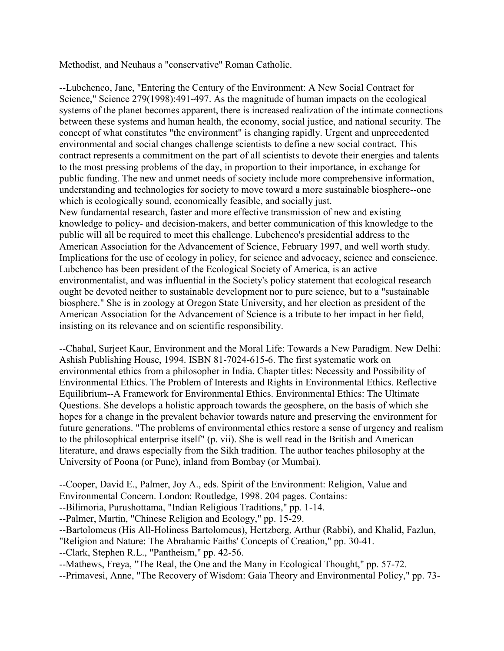Methodist, and Neuhaus a "conservative" Roman Catholic.

--Lubchenco, Jane, "Entering the Century of the Environment: A New Social Contract for Science," Science 279(1998):491-497. As the magnitude of human impacts on the ecological systems of the planet becomes apparent, there is increased realization of the intimate connections between these systems and human health, the economy, social justice, and national security. The concept of what constitutes "the environment" is changing rapidly. Urgent and unprecedented environmental and social changes challenge scientists to define a new social contract. This contract represents a commitment on the part of all scientists to devote their energies and talents to the most pressing problems of the day, in proportion to their importance, in exchange for public funding. The new and unmet needs of society include more comprehensive information, understanding and technologies for society to move toward a more sustainable biosphere--one which is ecologically sound, economically feasible, and socially just. New fundamental research, faster and more effective transmission of new and existing knowledge to policy- and decision-makers, and better communication of this knowledge to the public will all be required to meet this challenge. Lubchenco's presidential address to the American Association for the Advancement of Science, February 1997, and well worth study. Implications for the use of ecology in policy, for science and advocacy, science and conscience. Lubchenco has been president of the Ecological Society of America, is an active environmentalist, and was influential in the Society's policy statement that ecological research ought be devoted neither to sustainable development nor to pure science, but to a "sustainable biosphere." She is in zoology at Oregon State University, and her election as president of the American Association for the Advancement of Science is a tribute to her impact in her field, insisting on its relevance and on scientific responsibility.

--Chahal, Surjeet Kaur, Environment and the Moral Life: Towards a New Paradigm. New Delhi: Ashish Publishing House, 1994. ISBN 81-7024-615-6. The first systematic work on environmental ethics from a philosopher in India. Chapter titles: Necessity and Possibility of Environmental Ethics. The Problem of Interests and Rights in Environmental Ethics. Reflective Equilibrium--A Framework for Environmental Ethics. Environmental Ethics: The Ultimate Questions. She develops a holistic approach towards the geosphere, on the basis of which she hopes for a change in the prevalent behavior towards nature and preserving the environment for future generations. "The problems of environmental ethics restore a sense of urgency and realism to the philosophical enterprise itself" (p. vii). She is well read in the British and American literature, and draws especially from the Sikh tradition. The author teaches philosophy at the University of Poona (or Pune), inland from Bombay (or Mumbai).

--Cooper, David E., Palmer, Joy A., eds. Spirit of the Environment: Religion, Value and Environmental Concern. London: Routledge, 1998. 204 pages. Contains:

--Bilimoria, Purushottama, "Indian Religious Traditions," pp. 1-14.

--Palmer, Martin, "Chinese Religion and Ecology," pp. 15-29.

--Bartolomeus (His All-Holiness Bartolomeus), Hertzberg, Arthur (Rabbi), and Khalid, Fazlun,

"Religion and Nature: The Abrahamic Faiths' Concepts of Creation," pp. 30-41.

--Clark, Stephen R.L., "Pantheism," pp. 42-56.

--Mathews, Freya, "The Real, the One and the Many in Ecological Thought," pp. 57-72.

--Primavesi, Anne, "The Recovery of Wisdom: Gaia Theory and Environmental Policy," pp. 73-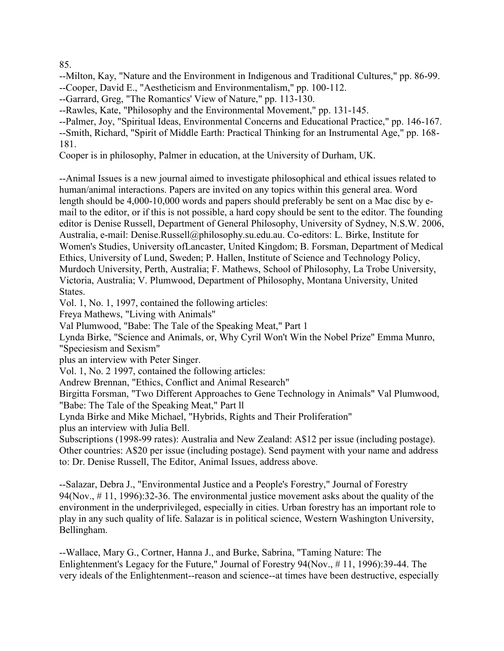85.

--Milton, Kay, "Nature and the Environment in Indigenous and Traditional Cultures," pp. 86-99. --Cooper, David E., "Aestheticism and Environmentalism," pp. 100-112.

--Garrard, Greg, "The Romantics' View of Nature," pp. 113-130.

--Rawles, Kate, "Philosophy and the Environmental Movement," pp. 131-145.

--Palmer, Joy, "Spiritual Ideas, Environmental Concerns and Educational Practice," pp. 146-167.

--Smith, Richard, "Spirit of Middle Earth: Practical Thinking for an Instrumental Age," pp. 168- 181.

Cooper is in philosophy, Palmer in education, at the University of Durham, UK.

--Animal Issues is a new journal aimed to investigate philosophical and ethical issues related to human/animal interactions. Papers are invited on any topics within this general area. Word length should be 4,000-10,000 words and papers should preferably be sent on a Mac disc by email to the editor, or if this is not possible, a hard copy should be sent to the editor. The founding editor is Denise Russell, Department of General Philosophy, University of Sydney, N.S.W. 2006, Australia, e-mail: Denise.Russell@philosophy.su.edu.au. Co-editors: L. Birke, Institute for Women's Studies, University ofLancaster, United Kingdom; B. Forsman, Department of Medical Ethics, University of Lund, Sweden; P. Hallen, Institute of Science and Technology Policy, Murdoch University, Perth, Australia; F. Mathews, School of Philosophy, La Trobe University, Victoria, Australia; V. Plumwood, Department of Philosophy, Montana University, United States.

Vol. 1, No. 1, 1997, contained the following articles:

Freya Mathews, "Living with Animals"

Val Plumwood, "Babe: The Tale of the Speaking Meat," Part 1

Lynda Birke, "Science and Animals, or, Why Cyril Won't Win the Nobel Prize" Emma Munro, "Speciesism and Sexism"

plus an interview with Peter Singer.

Vol. 1, No. 2 1997, contained the following articles:

Andrew Brennan, "Ethics, Conflict and Animal Research"

Birgitta Forsman, "Two Different Approaches to Gene Technology in Animals" Val Plumwood, "Babe: The Tale of the Speaking Meat," Part ll

Lynda Birke and Mike Michael, "Hybrids, Rights and Their Proliferation"

plus an interview with Julia Bell.

Subscriptions (1998-99 rates): Australia and New Zealand: A\$12 per issue (including postage). Other countries: A\$20 per issue (including postage). Send payment with your name and address to: Dr. Denise Russell, The Editor, Animal Issues, address above.

--Salazar, Debra J., "Environmental Justice and a People's Forestry," Journal of Forestry 94(Nov., # 11, 1996):32-36. The environmental justice movement asks about the quality of the environment in the underprivileged, especially in cities. Urban forestry has an important role to play in any such quality of life. Salazar is in political science, Western Washington University, Bellingham.

--Wallace, Mary G., Cortner, Hanna J., and Burke, Sabrina, "Taming Nature: The Enlightenment's Legacy for the Future," Journal of Forestry 94(Nov., # 11, 1996):39-44. The very ideals of the Enlightenment--reason and science--at times have been destructive, especially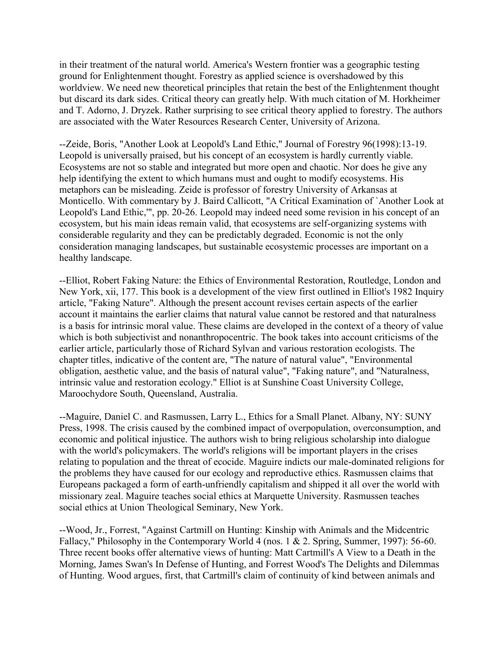in their treatment of the natural world. America's Western frontier was a geographic testing ground for Enlightenment thought. Forestry as applied science is overshadowed by this worldview. We need new theoretical principles that retain the best of the Enlightenment thought but discard its dark sides. Critical theory can greatly help. With much citation of M. Horkheimer and T. Adorno, J. Dryzek. Rather surprising to see critical theory applied to forestry. The authors are associated with the Water Resources Research Center, University of Arizona.

--Zeide, Boris, "Another Look at Leopold's Land Ethic," Journal of Forestry 96(1998):13-19. Leopold is universally praised, but his concept of an ecosystem is hardly currently viable. Ecosystems are not so stable and integrated but more open and chaotic. Nor does he give any help identifying the extent to which humans must and ought to modify ecosystems. His metaphors can be misleading. Zeide is professor of forestry University of Arkansas at Monticello. With commentary by J. Baird Callicott, "A Critical Examination of `Another Look at Leopold's Land Ethic,'", pp. 20-26. Leopold may indeed need some revision in his concept of an ecosystem, but his main ideas remain valid, that ecosystems are self-organizing systems with considerable regularity and they can be predictably degraded. Economic is not the only consideration managing landscapes, but sustainable ecosystemic processes are important on a healthy landscape.

--Elliot, Robert Faking Nature: the Ethics of Environmental Restoration, Routledge, London and New York, xii, 177. This book is a development of the view first outlined in Elliot's 1982 Inquiry article, "Faking Nature". Although the present account revises certain aspects of the earlier account it maintains the earlier claims that natural value cannot be restored and that naturalness is a basis for intrinsic moral value. These claims are developed in the context of a theory of value which is both subjectivist and nonanthropocentric. The book takes into account criticisms of the earlier article, particularly those of Richard Sylvan and various restoration ecologists. The chapter titles, indicative of the content are, "The nature of natural value", "Environmental obligation, aesthetic value, and the basis of natural value", "Faking nature", and "Naturalness, intrinsic value and restoration ecology." Elliot is at Sunshine Coast University College, Maroochydore South, Queensland, Australia.

--Maguire, Daniel C. and Rasmussen, Larry L., Ethics for a Small Planet. Albany, NY: SUNY Press, 1998. The crisis caused by the combined impact of overpopulation, overconsumption, and economic and political injustice. The authors wish to bring religious scholarship into dialogue with the world's policymakers. The world's religions will be important players in the crises relating to population and the threat of ecocide. Maguire indicts our male-dominated religions for the problems they have caused for our ecology and reproductive ethics. Rasmussen claims that Europeans packaged a form of earth-unfriendly capitalism and shipped it all over the world with missionary zeal. Maguire teaches social ethics at Marquette University. Rasmussen teaches social ethics at Union Theological Seminary, New York.

--Wood, Jr., Forrest, "Against Cartmill on Hunting: Kinship with Animals and the Midcentric Fallacy," Philosophy in the Contemporary World 4 (nos. 1 & 2. Spring, Summer, 1997): 56-60. Three recent books offer alternative views of hunting: Matt Cartmill's A View to a Death in the Morning, James Swan's In Defense of Hunting, and Forrest Wood's The Delights and Dilemmas of Hunting. Wood argues, first, that Cartmill's claim of continuity of kind between animals and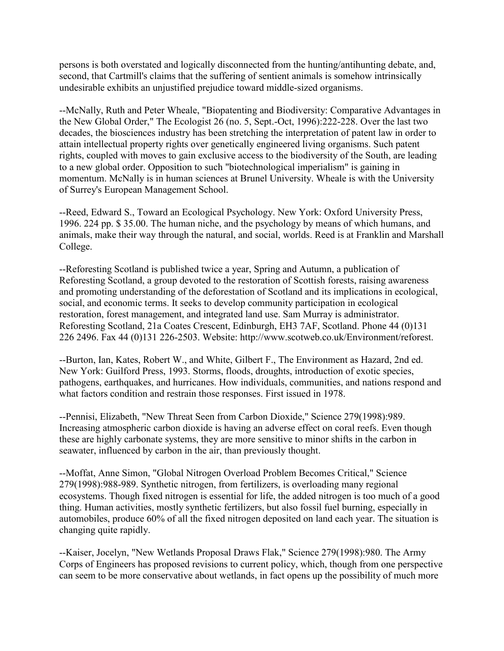persons is both overstated and logically disconnected from the hunting/antihunting debate, and, second, that Cartmill's claims that the suffering of sentient animals is somehow intrinsically undesirable exhibits an unjustified prejudice toward middle-sized organisms.

--McNally, Ruth and Peter Wheale, "Biopatenting and Biodiversity: Comparative Advantages in the New Global Order," The Ecologist 26 (no. 5, Sept.-Oct, 1996):222-228. Over the last two decades, the biosciences industry has been stretching the interpretation of patent law in order to attain intellectual property rights over genetically engineered living organisms. Such patent rights, coupled with moves to gain exclusive access to the biodiversity of the South, are leading to a new global order. Opposition to such "biotechnological imperialism" is gaining in momentum. McNally is in human sciences at Brunel University. Wheale is with the University of Surrey's European Management School.

--Reed, Edward S., Toward an Ecological Psychology. New York: Oxford University Press, 1996. 224 pp. \$ 35.00. The human niche, and the psychology by means of which humans, and animals, make their way through the natural, and social, worlds. Reed is at Franklin and Marshall College.

--Reforesting Scotland is published twice a year, Spring and Autumn, a publication of Reforesting Scotland, a group devoted to the restoration of Scottish forests, raising awareness and promoting understanding of the deforestation of Scotland and its implications in ecological, social, and economic terms. It seeks to develop community participation in ecological restoration, forest management, and integrated land use. Sam Murray is administrator. Reforesting Scotland, 21a Coates Crescent, Edinburgh, EH3 7AF, Scotland. Phone 44 (0)131 226 2496. Fax 44 (0)131 226-2503. Website: http://www.scotweb.co.uk/Environment/reforest.

--Burton, Ian, Kates, Robert W., and White, Gilbert F., The Environment as Hazard, 2nd ed. New York: Guilford Press, 1993. Storms, floods, droughts, introduction of exotic species, pathogens, earthquakes, and hurricanes. How individuals, communities, and nations respond and what factors condition and restrain those responses. First issued in 1978.

--Pennisi, Elizabeth, "New Threat Seen from Carbon Dioxide," Science 279(1998):989. Increasing atmospheric carbon dioxide is having an adverse effect on coral reefs. Even though these are highly carbonate systems, they are more sensitive to minor shifts in the carbon in seawater, influenced by carbon in the air, than previously thought.

--Moffat, Anne Simon, "Global Nitrogen Overload Problem Becomes Critical," Science 279(1998):988-989. Synthetic nitrogen, from fertilizers, is overloading many regional ecosystems. Though fixed nitrogen is essential for life, the added nitrogen is too much of a good thing. Human activities, mostly synthetic fertilizers, but also fossil fuel burning, especially in automobiles, produce 60% of all the fixed nitrogen deposited on land each year. The situation is changing quite rapidly.

--Kaiser, Jocelyn, "New Wetlands Proposal Draws Flak," Science 279(1998):980. The Army Corps of Engineers has proposed revisions to current policy, which, though from one perspective can seem to be more conservative about wetlands, in fact opens up the possibility of much more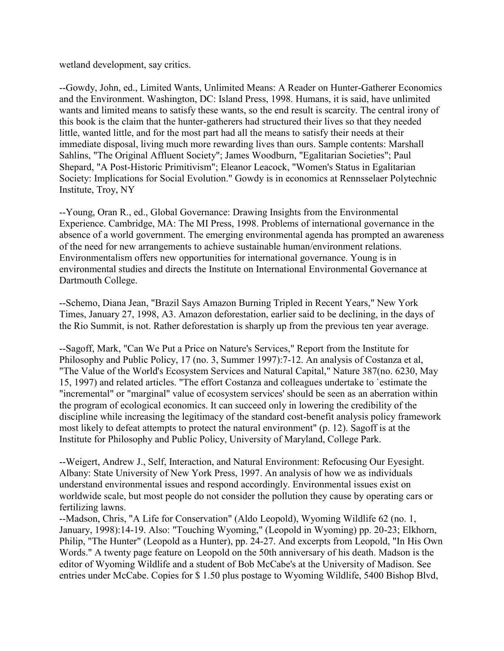wetland development, say critics.

--Gowdy, John, ed., Limited Wants, Unlimited Means: A Reader on Hunter-Gatherer Economics and the Environment. Washington, DC: Island Press, 1998. Humans, it is said, have unlimited wants and limited means to satisfy these wants, so the end result is scarcity. The central irony of this book is the claim that the hunter-gatherers had structured their lives so that they needed little, wanted little, and for the most part had all the means to satisfy their needs at their immediate disposal, living much more rewarding lives than ours. Sample contents: Marshall Sahlins, "The Original Affluent Society"; James Woodburn, "Egalitarian Societies"; Paul Shepard, "A Post-Historic Primitivism"; Eleanor Leacock, "Women's Status in Egalitarian Society: Implications for Social Evolution." Gowdy is in economics at Rennsselaer Polytechnic Institute, Troy, NY

--Young, Oran R., ed., Global Governance: Drawing Insights from the Environmental Experience. Cambridge, MA: The MI Press, 1998. Problems of international governance in the absence of a world government. The emerging environmental agenda has prompted an awareness of the need for new arrangements to achieve sustainable human/environment relations. Environmentalism offers new opportunities for international governance. Young is in environmental studies and directs the Institute on International Environmental Governance at Dartmouth College.

--Schemo, Diana Jean, "Brazil Says Amazon Burning Tripled in Recent Years," New York Times, January 27, 1998, A3. Amazon deforestation, earlier said to be declining, in the days of the Rio Summit, is not. Rather deforestation is sharply up from the previous ten year average.

--Sagoff, Mark, "Can We Put a Price on Nature's Services," Report from the Institute for Philosophy and Public Policy, 17 (no. 3, Summer 1997):7-12. An analysis of Costanza et al, "The Value of the World's Ecosystem Services and Natural Capital," Nature 387(no. 6230, May 15, 1997) and related articles. "The effort Costanza and colleagues undertake to `estimate the "incremental" or "marginal" value of ecosystem services' should be seen as an aberration within the program of ecological economics. It can succeed only in lowering the credibility of the discipline while increasing the legitimacy of the standard cost-benefit analysis policy framework most likely to defeat attempts to protect the natural environment" (p. 12). Sagoff is at the Institute for Philosophy and Public Policy, University of Maryland, College Park.

--Weigert, Andrew J., Self, Interaction, and Natural Environment: Refocusing Our Eyesight. Albany: State University of New York Press, 1997. An analysis of how we as individuals understand environmental issues and respond accordingly. Environmental issues exist on worldwide scale, but most people do not consider the pollution they cause by operating cars or fertilizing lawns.

--Madson, Chris, "A Life for Conservation" (Aldo Leopold), Wyoming Wildlife 62 (no. 1, January, 1998):14-19. Also: "Touching Wyoming," (Leopold in Wyoming) pp. 20-23; Elkhorn, Philip, "The Hunter" (Leopold as a Hunter), pp. 24-27. And excerpts from Leopold, "In His Own Words." A twenty page feature on Leopold on the 50th anniversary of his death. Madson is the editor of Wyoming Wildlife and a student of Bob McCabe's at the University of Madison. See entries under McCabe. Copies for \$ 1.50 plus postage to Wyoming Wildlife, 5400 Bishop Blvd,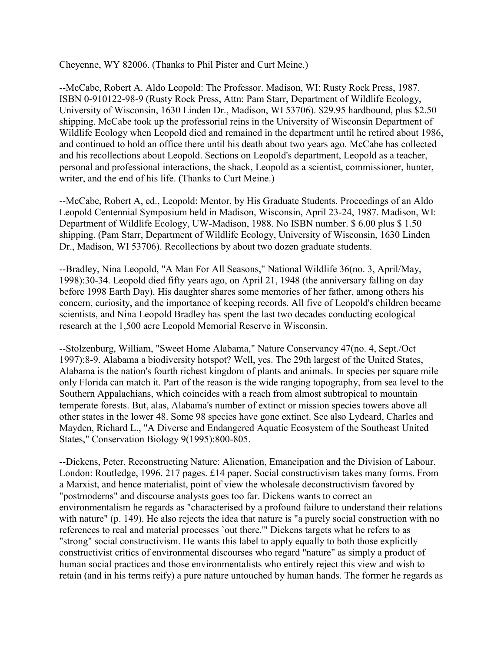Cheyenne, WY 82006. (Thanks to Phil Pister and Curt Meine.)

--McCabe, Robert A. Aldo Leopold: The Professor. Madison, WI: Rusty Rock Press, 1987. ISBN 0-910122-98-9 (Rusty Rock Press, Attn: Pam Starr, Department of Wildlife Ecology, University of Wisconsin, 1630 Linden Dr., Madison, WI 53706). \$29.95 hardbound, plus \$2.50 shipping. McCabe took up the professorial reins in the University of Wisconsin Department of Wildlife Ecology when Leopold died and remained in the department until he retired about 1986, and continued to hold an office there until his death about two years ago. McCabe has collected and his recollections about Leopold. Sections on Leopold's department, Leopold as a teacher, personal and professional interactions, the shack, Leopold as a scientist, commissioner, hunter, writer, and the end of his life. (Thanks to Curt Meine.)

--McCabe, Robert A, ed., Leopold: Mentor, by His Graduate Students. Proceedings of an Aldo Leopold Centennial Symposium held in Madison, Wisconsin, April 23-24, 1987. Madison, WI: Department of Wildlife Ecology, UW-Madison, 1988. No ISBN number. \$ 6.00 plus \$ 1.50 shipping. (Pam Starr, Department of Wildlife Ecology, University of Wisconsin, 1630 Linden Dr., Madison, WI 53706). Recollections by about two dozen graduate students.

--Bradley, Nina Leopold, "A Man For All Seasons," National Wildlife 36(no. 3, April/May, 1998):30-34. Leopold died fifty years ago, on April 21, 1948 (the anniversary falling on day before 1998 Earth Day). His daughter shares some memories of her father, among others his concern, curiosity, and the importance of keeping records. All five of Leopold's children became scientists, and Nina Leopold Bradley has spent the last two decades conducting ecological research at the 1,500 acre Leopold Memorial Reserve in Wisconsin.

--Stolzenburg, William, "Sweet Home Alabama," Nature Conservancy 47(no. 4, Sept./Oct 1997):8-9. Alabama a biodiversity hotspot? Well, yes. The 29th largest of the United States, Alabama is the nation's fourth richest kingdom of plants and animals. In species per square mile only Florida can match it. Part of the reason is the wide ranging topography, from sea level to the Southern Appalachians, which coincides with a reach from almost subtropical to mountain temperate forests. But, alas, Alabama's number of extinct or mission species towers above all other states in the lower 48. Some 98 species have gone extinct. See also Lydeard, Charles and Mayden, Richard L., "A Diverse and Endangered Aquatic Ecosystem of the Southeast United States," Conservation Biology 9(1995):800-805.

--Dickens, Peter, Reconstructing Nature: Alienation, Emancipation and the Division of Labour. London: Routledge, 1996. 217 pages. £14 paper. Social constructivism takes many forms. From a Marxist, and hence materialist, point of view the wholesale deconstructivism favored by "postmoderns" and discourse analysts goes too far. Dickens wants to correct an environmentalism he regards as "characterised by a profound failure to understand their relations with nature" (p. 149). He also rejects the idea that nature is "a purely social construction with no references to real and material processes `out there.'" Dickens targets what he refers to as "strong" social constructivism. He wants this label to apply equally to both those explicitly constructivist critics of environmental discourses who regard "nature" as simply a product of human social practices and those environmentalists who entirely reject this view and wish to retain (and in his terms reify) a pure nature untouched by human hands. The former he regards as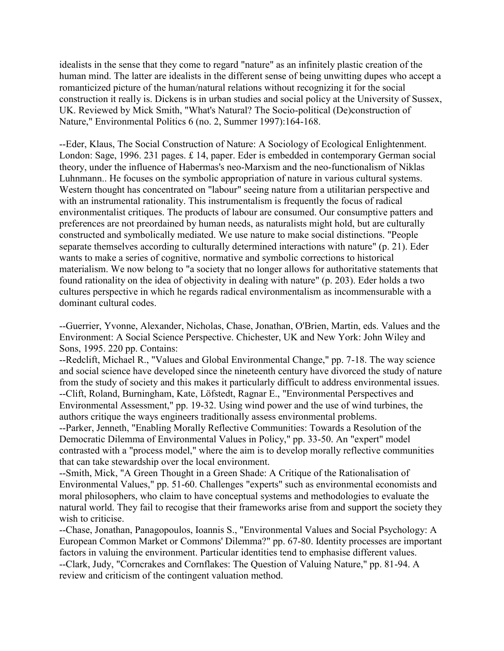idealists in the sense that they come to regard "nature" as an infinitely plastic creation of the human mind. The latter are idealists in the different sense of being unwitting dupes who accept a romanticized picture of the human/natural relations without recognizing it for the social construction it really is. Dickens is in urban studies and social policy at the University of Sussex, UK. Reviewed by Mick Smith, "What's Natural? The Socio-political (De)construction of Nature," Environmental Politics 6 (no. 2, Summer 1997):164-168.

--Eder, Klaus, The Social Construction of Nature: A Sociology of Ecological Enlightenment. London: Sage, 1996. 231 pages. £ 14, paper. Eder is embedded in contemporary German social theory, under the influence of Habermas's neo-Marxism and the neo-functionalism of Niklas Luhnmann.. He focuses on the symbolic appropriation of nature in various cultural systems. Western thought has concentrated on "labour" seeing nature from a utilitarian perspective and with an instrumental rationality. This instrumentalism is frequently the focus of radical environmentalist critiques. The products of labour are consumed. Our consumptive patters and preferences are not preordained by human needs, as naturalists might hold, but are culturally constructed and symbolically mediated. We use nature to make social distinctions. "People separate themselves according to culturally determined interactions with nature" (p. 21). Eder wants to make a series of cognitive, normative and symbolic corrections to historical materialism. We now belong to "a society that no longer allows for authoritative statements that found rationality on the idea of objectivity in dealing with nature" (p. 203). Eder holds a two cultures perspective in which he regards radical environmentalism as incommensurable with a dominant cultural codes.

--Guerrier, Yvonne, Alexander, Nicholas, Chase, Jonathan, O'Brien, Martin, eds. Values and the Environment: A Social Science Perspective. Chichester, UK and New York: John Wiley and Sons, 1995. 220 pp. Contains:

--Redclift, Michael R., "Values and Global Environmental Change," pp. 7-18. The way science and social science have developed since the nineteenth century have divorced the study of nature from the study of society and this makes it particularly difficult to address environmental issues. --Clift, Roland, Burningham, Kate, Löfstedt, Ragnar E., "Environmental Perspectives and Environmental Assessment," pp. 19-32. Using wind power and the use of wind turbines, the authors critique the ways engineers traditionally assess environmental problems.

--Parker, Jenneth, "Enabling Morally Reflective Communities: Towards a Resolution of the Democratic Dilemma of Environmental Values in Policy," pp. 33-50. An "expert" model contrasted with a "process model," where the aim is to develop morally reflective communities that can take stewardship over the local environment.

--Smith, Mick, "A Green Thought in a Green Shade: A Critique of the Rationalisation of Environmental Values," pp. 51-60. Challenges "experts" such as environmental economists and moral philosophers, who claim to have conceptual systems and methodologies to evaluate the natural world. They fail to recogise that their frameworks arise from and support the society they wish to criticise.

--Chase, Jonathan, Panagopoulos, Ioannis S., "Environmental Values and Social Psychology: A European Common Market or Commons' Dilemma?" pp. 67-80. Identity processes are important factors in valuing the environment. Particular identities tend to emphasise different values. --Clark, Judy, "Corncrakes and Cornflakes: The Question of Valuing Nature," pp. 81-94. A review and criticism of the contingent valuation method.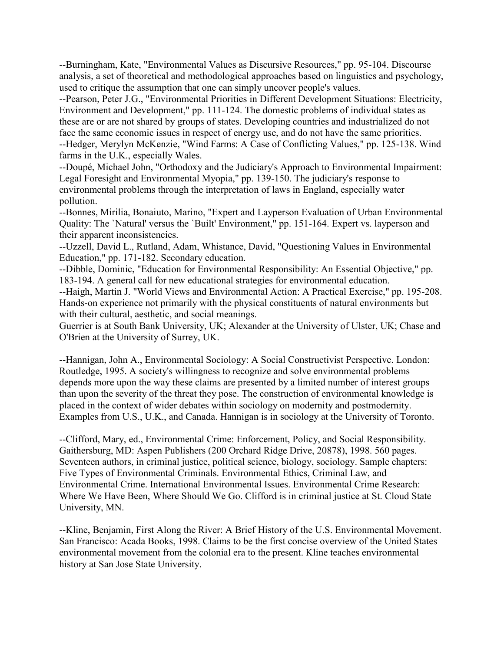--Burningham, Kate, "Environmental Values as Discursive Resources," pp. 95-104. Discourse analysis, a set of theoretical and methodological approaches based on linguistics and psychology, used to critique the assumption that one can simply uncover people's values.

--Pearson, Peter J.G., "Environmental Priorities in Different Development Situations: Electricity, Environment and Development," pp. 111-124. The domestic problems of individual states as these are or are not shared by groups of states. Developing countries and industrialized do not face the same economic issues in respect of energy use, and do not have the same priorities. --Hedger, Merylyn McKenzie, "Wind Farms: A Case of Conflicting Values," pp. 125-138. Wind farms in the U.K., especially Wales.

--Doupé, Michael John, "Orthodoxy and the Judiciary's Approach to Environmental Impairment: Legal Foresight and Environmental Myopia," pp. 139-150. The judiciary's response to environmental problems through the interpretation of laws in England, especially water pollution.

--Bonnes, Mirilia, Bonaiuto, Marino, "Expert and Layperson Evaluation of Urban Environmental Quality: The `Natural' versus the `Built' Environment," pp. 151-164. Expert vs. layperson and their apparent inconsistencies.

--Uzzell, David L., Rutland, Adam, Whistance, David, "Questioning Values in Environmental Education," pp. 171-182. Secondary education.

--Dibble, Dominic, "Education for Environmental Responsibility: An Essential Objective," pp. 183-194. A general call for new educational strategies for environmental education.

--Haigh, Martin J. "World Views and Environmental Action: A Practical Exercise," pp. 195-208. Hands-on experience not primarily with the physical constituents of natural environments but with their cultural, aesthetic, and social meanings.

Guerrier is at South Bank University, UK; Alexander at the University of Ulster, UK; Chase and O'Brien at the University of Surrey, UK.

--Hannigan, John A., Environmental Sociology: A Social Constructivist Perspective. London: Routledge, 1995. A society's willingness to recognize and solve environmental problems depends more upon the way these claims are presented by a limited number of interest groups than upon the severity of the threat they pose. The construction of environmental knowledge is placed in the context of wider debates within sociology on modernity and postmodernity. Examples from U.S., U.K., and Canada. Hannigan is in sociology at the University of Toronto.

--Clifford, Mary, ed., Environmental Crime: Enforcement, Policy, and Social Responsibility. Gaithersburg, MD: Aspen Publishers (200 Orchard Ridge Drive, 20878), 1998. 560 pages. Seventeen authors, in criminal justice, political science, biology, sociology. Sample chapters: Five Types of Environmental Criminals. Environmental Ethics, Criminal Law, and Environmental Crime. International Environmental Issues. Environmental Crime Research: Where We Have Been, Where Should We Go. Clifford is in criminal justice at St. Cloud State University, MN.

--Kline, Benjamin, First Along the River: A Brief History of the U.S. Environmental Movement. San Francisco: Acada Books, 1998. Claims to be the first concise overview of the United States environmental movement from the colonial era to the present. Kline teaches environmental history at San Jose State University.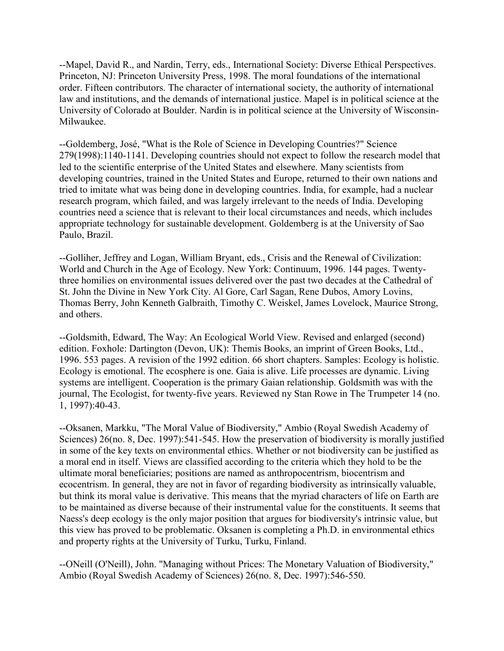--Mapel, David R., and Nardin, Terry, eds., International Society: Diverse Ethical Perspectives. Princeton, NJ: Princeton University Press, 1998. The moral foundations of the international order. Fifteen contributors. The character of international society, the authority of international law and institutions, and the demands of international justice. Mapel is in political science at the University of Colorado at Boulder. Nardin is in political science at the University of Wisconsin-Milwaukee.

--Goldemberg, José, "What is the Role of Science in Developing Countries?" Science 279(1998):1140-1141. Developing countries should not expect to follow the research model that led to the scientific enterprise of the United States and elsewhere. Many scientists from developing countries, trained in the United States and Europe, returned to their own nations and tried to imitate what was being done in developing countries. India, for example, had a nuclear research program, which failed, and was largely irrelevant to the needs of India. Developing countries need a science that is relevant to their local circumstances and needs, which includes appropriate technology for sustainable development. Goldemberg is at the University of Sao Paulo, Brazil.

--Golliher, Jeffrey and Logan, William Bryant, eds., Crisis and the Renewal of Civilization: World and Church in the Age of Ecology. New York: Continuum, 1996. 144 pages. Twentythree homilies on environmental issues delivered over the past two decades at the Cathedral of St. John the Divine in New York City. Al Gore, Carl Sagan, Rene Dubos, Amory Lovins, Thomas Berry, John Kenneth Galbraith, Timothy C. Weiskel, James Lovelock, Maurice Strong, and others.

--Goldsmith, Edward, The Way: An Ecological World View. Revised and enlarged (second) edition. Foxhole: Dartington (Devon, UK): Themis Books, an imprint of Green Books, Ltd., 1996. 553 pages. A revision of the 1992 edition. 66 short chapters. Samples: Ecology is holistic. Ecology is emotional. The ecosphere is one. Gaia is alive. Life processes are dynamic. Living systems are intelligent. Cooperation is the primary Gaian relationship. Goldsmith was with the journal, The Ecologist, for twenty-five years. Reviewed ny Stan Rowe in The Trumpeter 14 (no. 1, 1997):40-43.

--Oksanen, Markku, "The Moral Value of Biodiversity," Ambio (Royal Swedish Academy of Sciences) 26(no. 8, Dec. 1997):541-545. How the preservation of biodiversity is morally justified in some of the key texts on environmental ethics. Whether or not biodiversity can be justified as a moral end in itself. Views are classified according to the criteria which they hold to be the ultimate moral beneficiaries; positions are named as anthropocentrism, biocentrism and ecocentrism. In general, they are not in favor of regarding biodiversity as intrinsically valuable, but think its moral value is derivative. This means that the myriad characters of life on Earth are to be maintained as diverse because of their instrumental value for the constituents. It seems that Naess's deep ecology is the only major position that argues for biodiversity's intrinsic value, but this view has proved to be problematic. Oksanen is completing a Ph.D. in environmental ethics and property rights at the University of Turku, Turku, Finland.

--ONeill (O'Neill), John. "Managing without Prices: The Monetary Valuation of Biodiversity," Ambio (Royal Swedish Academy of Sciences) 26(no. 8, Dec. 1997):546-550.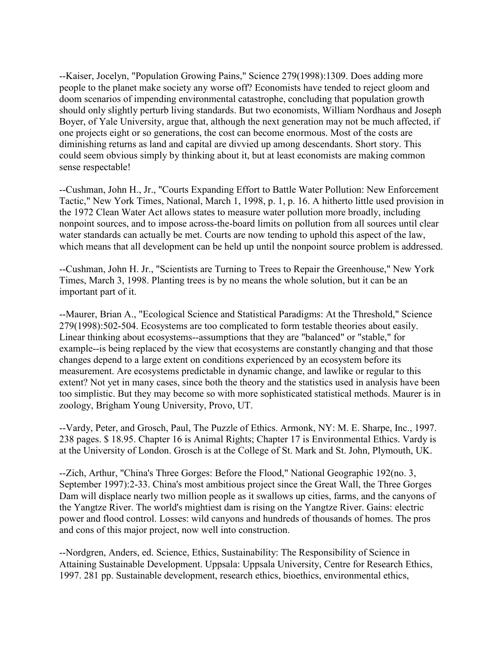--Kaiser, Jocelyn, "Population Growing Pains," Science 279(1998):1309. Does adding more people to the planet make society any worse off? Economists have tended to reject gloom and doom scenarios of impending environmental catastrophe, concluding that population growth should only slightly perturb living standards. But two economists, William Nordhaus and Joseph Boyer, of Yale University, argue that, although the next generation may not be much affected, if one projects eight or so generations, the cost can become enormous. Most of the costs are diminishing returns as land and capital are divvied up among descendants. Short story. This could seem obvious simply by thinking about it, but at least economists are making common sense respectable!

--Cushman, John H., Jr., "Courts Expanding Effort to Battle Water Pollution: New Enforcement Tactic," New York Times, National, March 1, 1998, p. 1, p. 16. A hitherto little used provision in the 1972 Clean Water Act allows states to measure water pollution more broadly, including nonpoint sources, and to impose across-the-board limits on pollution from all sources until clear water standards can actually be met. Courts are now tending to uphold this aspect of the law, which means that all development can be held up until the nonpoint source problem is addressed.

--Cushman, John H. Jr., "Scientists are Turning to Trees to Repair the Greenhouse," New York Times, March 3, 1998. Planting trees is by no means the whole solution, but it can be an important part of it.

--Maurer, Brian A., "Ecological Science and Statistical Paradigms: At the Threshold," Science 279(1998):502-504. Ecosystems are too complicated to form testable theories about easily. Linear thinking about ecosystems--assumptions that they are "balanced" or "stable," for example--is being replaced by the view that ecosystems are constantly changing and that those changes depend to a large extent on conditions experienced by an ecosystem before its measurement. Are ecosystems predictable in dynamic change, and lawlike or regular to this extent? Not yet in many cases, since both the theory and the statistics used in analysis have been too simplistic. But they may become so with more sophisticated statistical methods. Maurer is in zoology, Brigham Young University, Provo, UT.

--Vardy, Peter, and Grosch, Paul, The Puzzle of Ethics. Armonk, NY: M. E. Sharpe, Inc., 1997. 238 pages. \$ 18.95. Chapter 16 is Animal Rights; Chapter 17 is Environmental Ethics. Vardy is at the University of London. Grosch is at the College of St. Mark and St. John, Plymouth, UK.

--Zich, Arthur, "China's Three Gorges: Before the Flood," National Geographic 192(no. 3, September 1997):2-33. China's most ambitious project since the Great Wall, the Three Gorges Dam will displace nearly two million people as it swallows up cities, farms, and the canyons of the Yangtze River. The world's mightiest dam is rising on the Yangtze River. Gains: electric power and flood control. Losses: wild canyons and hundreds of thousands of homes. The pros and cons of this major project, now well into construction.

--Nordgren, Anders, ed. Science, Ethics, Sustainability: The Responsibility of Science in Attaining Sustainable Development. Uppsala: Uppsala University, Centre for Research Ethics, 1997. 281 pp. Sustainable development, research ethics, bioethics, environmental ethics,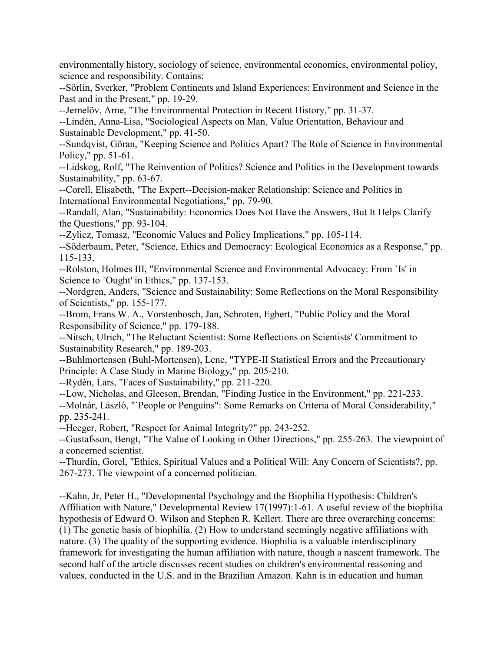environmentally history, sociology of science, environmental economics, environmental policy, science and responsibility. Contains:

--Sörlin, Sverker, "Problem Continents and Island Experiences: Environment and Science in the Past and in the Present," pp. 19-29.

--Jernelöv, Arne, "The Environmental Protection in Recent History," pp. 31-37.

--Lindén, Anna-Lisa, "Sociological Aspects on Man, Value Orientation, Behaviour and Sustainable Development," pp. 41-50.

--Sundqvist, Göran, "Keeping Science and Politics Apart? The Role of Science in Environmental Policy," pp. 51-61.

--Lidskog, Rolf, "The Reinvention of Politics? Science and Politics in the Development towards Sustainability," pp. 63-67.

--Corell, Elisabeth, "The Expert--Decision-maker Relationship: Science and Politics in International Environmental Negotiations," pp. 79-90.

--Randall, Alan, "Sustainability: Economics Does Not Have the Answers, But It Helps Clarify the Questions," pp. 93-104.

--Zylicz, Tomasz, "Economic Values and Policy Implications," pp. 105-114.

--Söderbaum, Peter, "Science, Ethics and Democracy: Ecological Economics as a Response," pp. 115-133.

--Rolston, Holmes III, "Environmental Science and Environmental Advocacy: From `Is' in Science to `Ought' in Ethics," pp. 137-153.

--Nordgren, Anders, "Science and Sustainability: Some Reflections on the Moral Responsibility of Scientists," pp. 155-177.

--Brom, Frans W. A., Vorstenbosch, Jan, Schroten, Egbert, "Public Policy and the Moral Responsibility of Science," pp. 179-188.

--Nitsch, Ulrich, "The Reluctant Scientist: Some Reflections on Scientists' Commitment to Sustainability Research," pp. 189-203.

--Buhlmortensen (Buhl-Mortensen), Lene, "TYPE-II Statistical Errors and the Precautionary Principle: A Case Study in Marine Biology," pp. 205-210.

--Rydén, Lars, "Faces of Sustainability," pp. 211-220.

--Low, Nicholas, and Gleeson, Brendan, "Finding Justice in the Environment," pp. 221-233.

--Molnár, László, "`People or Penguins": Some Remarks on Criteria of Moral Considerability," pp. 235-241.

--Heeger, Robert, "Respect for Animal Integrity?" pp. 243-252.

--Gustafsson, Bengt, "The Value of Looking in Other Directions," pp. 255-263. The viewpoint of a concerned scientist.

--Thurdin, Gorel, "Ethics, Spiritual Values and a Political Will: Any Concern of Scientists?, pp. 267-273. The viewpoint of a concerned politician.

--Kahn, Jr, Peter H., "Developmental Psychology and the Biophilia Hypothesis: Children's Affiliation with Nature," Developmental Review 17(1997):1-61. A useful review of the biophilia hypothesis of Edward O. Wilson and Stephen R. Kellert. There are three overarching concerns: (1) The genetic basis of biophilia. (2) How to understand seemingly negative affiliations with nature. (3) The quality of the supporting evidence. Biophilia is a valuable interdisciplinary framework for investigating the human affiliation with nature, though a nascent framework. The second half of the article discusses recent studies on children's environmental reasoning and values, conducted in the U.S. and in the Brazilian Amazon. Kahn is in education and human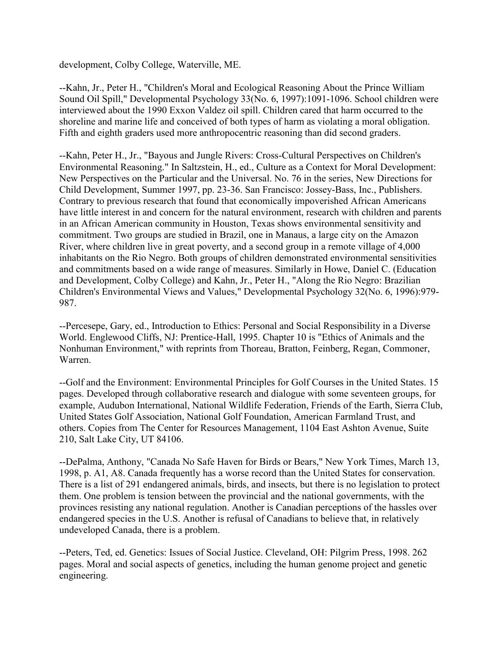development, Colby College, Waterville, ME.

--Kahn, Jr., Peter H., "Children's Moral and Ecological Reasoning About the Prince William Sound Oil Spill," Developmental Psychology 33(No. 6, 1997):1091-1096. School children were interviewed about the 1990 Exxon Valdez oil spill. Children cared that harm occurred to the shoreline and marine life and conceived of both types of harm as violating a moral obligation. Fifth and eighth graders used more anthropocentric reasoning than did second graders.

--Kahn, Peter H., Jr., "Bayous and Jungle Rivers: Cross-Cultural Perspectives on Children's Environmental Reasoning." In Saltzstein, H., ed., Culture as a Context for Moral Development: New Perspectives on the Particular and the Universal. No. 76 in the series, New Directions for Child Development, Summer 1997, pp. 23-36. San Francisco: Jossey-Bass, Inc., Publishers. Contrary to previous research that found that economically impoverished African Americans have little interest in and concern for the natural environment, research with children and parents in an African American community in Houston, Texas shows environmental sensitivity and commitment. Two groups are studied in Brazil, one in Manaus, a large city on the Amazon River, where children live in great poverty, and a second group in a remote village of 4,000 inhabitants on the Rio Negro. Both groups of children demonstrated environmental sensitivities and commitments based on a wide range of measures. Similarly in Howe, Daniel C. (Education and Development, Colby College) and Kahn, Jr., Peter H., "Along the Rio Negro: Brazilian Children's Environmental Views and Values," Developmental Psychology 32(No. 6, 1996):979- 987.

--Percesepe, Gary, ed., Introduction to Ethics: Personal and Social Responsibility in a Diverse World. Englewood Cliffs, NJ: Prentice-Hall, 1995. Chapter 10 is "Ethics of Animals and the Nonhuman Environment," with reprints from Thoreau, Bratton, Feinberg, Regan, Commoner, Warren.

--Golf and the Environment: Environmental Principles for Golf Courses in the United States. 15 pages. Developed through collaborative research and dialogue with some seventeen groups, for example, Audubon International, National Wildlife Federation, Friends of the Earth, Sierra Club, United States Golf Association, National Golf Foundation, American Farmland Trust, and others. Copies from The Center for Resources Management, 1104 East Ashton Avenue, Suite 210, Salt Lake City, UT 84106.

--DePalma, Anthony, "Canada No Safe Haven for Birds or Bears," New York Times, March 13, 1998, p. A1, A8. Canada frequently has a worse record than the United States for conservation. There is a list of 291 endangered animals, birds, and insects, but there is no legislation to protect them. One problem is tension between the provincial and the national governments, with the provinces resisting any national regulation. Another is Canadian perceptions of the hassles over endangered species in the U.S. Another is refusal of Canadians to believe that, in relatively undeveloped Canada, there is a problem.

--Peters, Ted, ed. Genetics: Issues of Social Justice. Cleveland, OH: Pilgrim Press, 1998. 262 pages. Moral and social aspects of genetics, including the human genome project and genetic engineering.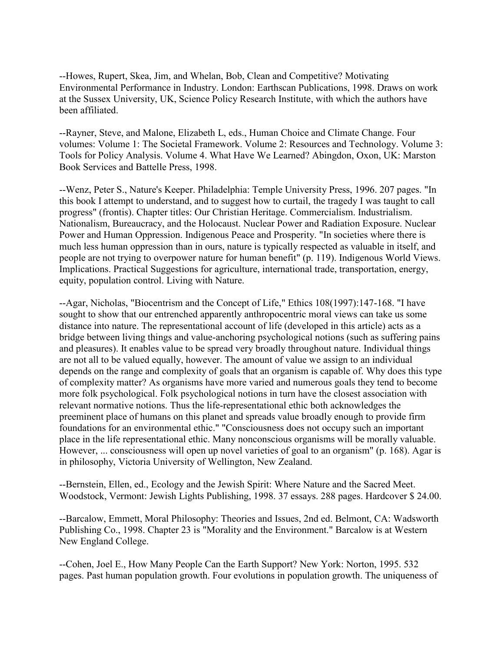--Howes, Rupert, Skea, Jim, and Whelan, Bob, Clean and Competitive? Motivating Environmental Performance in Industry. London: Earthscan Publications, 1998. Draws on work at the Sussex University, UK, Science Policy Research Institute, with which the authors have been affiliated.

--Rayner, Steve, and Malone, Elizabeth L, eds., Human Choice and Climate Change. Four volumes: Volume 1: The Societal Framework. Volume 2: Resources and Technology. Volume 3: Tools for Policy Analysis. Volume 4. What Have We Learned? Abingdon, Oxon, UK: Marston Book Services and Battelle Press, 1998.

--Wenz, Peter S., Nature's Keeper. Philadelphia: Temple University Press, 1996. 207 pages. "In this book I attempt to understand, and to suggest how to curtail, the tragedy I was taught to call progress" (frontis). Chapter titles: Our Christian Heritage. Commercialism. Industrialism. Nationalism, Bureaucracy, and the Holocaust. Nuclear Power and Radiation Exposure. Nuclear Power and Human Oppression. Indigenous Peace and Prosperity. "In societies where there is much less human oppression than in ours, nature is typically respected as valuable in itself, and people are not trying to overpower nature for human benefit" (p. 119). Indigenous World Views. Implications. Practical Suggestions for agriculture, international trade, transportation, energy, equity, population control. Living with Nature.

--Agar, Nicholas, "Biocentrism and the Concept of Life," Ethics 108(1997):147-168. "I have sought to show that our entrenched apparently anthropocentric moral views can take us some distance into nature. The representational account of life (developed in this article) acts as a bridge between living things and value-anchoring psychological notions (such as suffering pains and pleasures). It enables value to be spread very broadly throughout nature. Individual things are not all to be valued equally, however. The amount of value we assign to an individual depends on the range and complexity of goals that an organism is capable of. Why does this type of complexity matter? As organisms have more varied and numerous goals they tend to become more folk psychological. Folk psychological notions in turn have the closest association with relevant normative notions. Thus the life-representational ethic both acknowledges the preeminent place of humans on this planet and spreads value broadly enough to provide firm foundations for an environmental ethic." "Consciousness does not occupy such an important place in the life representational ethic. Many nonconscious organisms will be morally valuable. However, ... consciousness will open up novel varieties of goal to an organism" (p. 168). Agar is in philosophy, Victoria University of Wellington, New Zealand.

--Bernstein, Ellen, ed., Ecology and the Jewish Spirit: Where Nature and the Sacred Meet. Woodstock, Vermont: Jewish Lights Publishing, 1998. 37 essays. 288 pages. Hardcover \$ 24.00.

--Barcalow, Emmett, Moral Philosophy: Theories and Issues, 2nd ed. Belmont, CA: Wadsworth Publishing Co., 1998. Chapter 23 is "Morality and the Environment." Barcalow is at Western New England College.

--Cohen, Joel E., How Many People Can the Earth Support? New York: Norton, 1995. 532 pages. Past human population growth. Four evolutions in population growth. The uniqueness of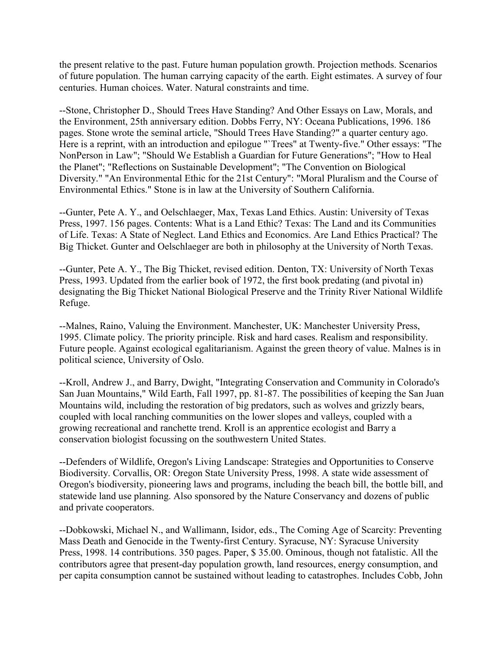the present relative to the past. Future human population growth. Projection methods. Scenarios of future population. The human carrying capacity of the earth. Eight estimates. A survey of four centuries. Human choices. Water. Natural constraints and time.

--Stone, Christopher D., Should Trees Have Standing? And Other Essays on Law, Morals, and the Environment, 25th anniversary edition. Dobbs Ferry, NY: Oceana Publications, 1996. 186 pages. Stone wrote the seminal article, "Should Trees Have Standing?" a quarter century ago. Here is a reprint, with an introduction and epilogue "`Trees" at Twenty-five." Other essays: "The NonPerson in Law"; "Should We Establish a Guardian for Future Generations"; "How to Heal the Planet"; "Reflections on Sustainable Development"; "The Convention on Biological Diversity." "An Environmental Ethic for the 21st Century": "Moral Pluralism and the Course of Environmental Ethics." Stone is in law at the University of Southern California.

--Gunter, Pete A. Y., and Oelschlaeger, Max, Texas Land Ethics. Austin: University of Texas Press, 1997. 156 pages. Contents: What is a Land Ethic? Texas: The Land and its Communities of Life. Texas: A State of Neglect. Land Ethics and Economics. Are Land Ethics Practical? The Big Thicket. Gunter and Oelschlaeger are both in philosophy at the University of North Texas.

--Gunter, Pete A. Y., The Big Thicket, revised edition. Denton, TX: University of North Texas Press, 1993. Updated from the earlier book of 1972, the first book predating (and pivotal in) designating the Big Thicket National Biological Preserve and the Trinity River National Wildlife Refuge.

--Malnes, Raino, Valuing the Environment. Manchester, UK: Manchester University Press, 1995. Climate policy. The priority principle. Risk and hard cases. Realism and responsibility. Future people. Against ecological egalitarianism. Against the green theory of value. Malnes is in political science, University of Oslo.

--Kroll, Andrew J., and Barry, Dwight, "Integrating Conservation and Community in Colorado's San Juan Mountains," Wild Earth, Fall 1997, pp. 81-87. The possibilities of keeping the San Juan Mountains wild, including the restoration of big predators, such as wolves and grizzly bears, coupled with local ranching communities on the lower slopes and valleys, coupled with a growing recreational and ranchette trend. Kroll is an apprentice ecologist and Barry a conservation biologist focussing on the southwestern United States.

--Defenders of Wildlife, Oregon's Living Landscape: Strategies and Opportunities to Conserve Biodiversity. Corvallis, OR: Oregon State University Press, 1998. A state wide assessment of Oregon's biodiversity, pioneering laws and programs, including the beach bill, the bottle bill, and statewide land use planning. Also sponsored by the Nature Conservancy and dozens of public and private cooperators.

--Dobkowski, Michael N., and Wallimann, Isidor, eds., The Coming Age of Scarcity: Preventing Mass Death and Genocide in the Twenty-first Century. Syracuse, NY: Syracuse University Press, 1998. 14 contributions. 350 pages. Paper, \$ 35.00. Ominous, though not fatalistic. All the contributors agree that present-day population growth, land resources, energy consumption, and per capita consumption cannot be sustained without leading to catastrophes. Includes Cobb, John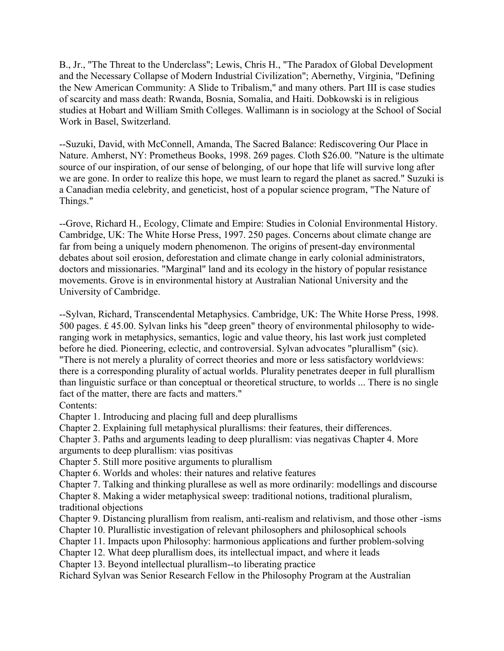B., Jr., "The Threat to the Underclass"; Lewis, Chris H., "The Paradox of Global Development and the Necessary Collapse of Modern Industrial Civilization"; Abernethy, Virginia, "Defining the New American Community: A Slide to Tribalism," and many others. Part III is case studies of scarcity and mass death: Rwanda, Bosnia, Somalia, and Haiti. Dobkowski is in religious studies at Hobart and William Smith Colleges. Wallimann is in sociology at the School of Social Work in Basel, Switzerland.

--Suzuki, David, with McConnell, Amanda, The Sacred Balance: Rediscovering Our Place in Nature. Amherst, NY: Prometheus Books, 1998. 269 pages. Cloth \$26.00. "Nature is the ultimate source of our inspiration, of our sense of belonging, of our hope that life will survive long after we are gone. In order to realize this hope, we must learn to regard the planet as sacred." Suzuki is a Canadian media celebrity, and geneticist, host of a popular science program, "The Nature of Things."

--Grove, Richard H., Ecology, Climate and Empire: Studies in Colonial Environmental History. Cambridge, UK: The White Horse Press, 1997. 250 pages. Concerns about climate change are far from being a uniquely modern phenomenon. The origins of present-day environmental debates about soil erosion, deforestation and climate change in early colonial administrators, doctors and missionaries. "Marginal" land and its ecology in the history of popular resistance movements. Grove is in environmental history at Australian National University and the University of Cambridge.

--Sylvan, Richard, Transcendental Metaphysics. Cambridge, UK: The White Horse Press, 1998. 500 pages. £ 45.00. Sylvan links his "deep green" theory of environmental philosophy to wideranging work in metaphysics, semantics, logic and value theory, his last work just completed before he died. Pioneering, eclectic, and controversial. Sylvan advocates "plurallism" (sic). "There is not merely a plurality of correct theories and more or less satisfactory worldviews: there is a corresponding plurality of actual worlds. Plurality penetrates deeper in full plurallism than linguistic surface or than conceptual or theoretical structure, to worlds ... There is no single fact of the matter, there are facts and matters."

Contents:

Chapter 1. Introducing and placing full and deep plurallisms

Chapter 2. Explaining full metaphysical plurallisms: their features, their differences.

Chapter 3. Paths and arguments leading to deep plurallism: vias negativas Chapter 4. More

arguments to deep plurallism: vias positivas

Chapter 5. Still more positive arguments to plurallism

Chapter 6. Worlds and wholes: their natures and relative features

Chapter 7. Talking and thinking plurallese as well as more ordinarily: modellings and discourse

Chapter 8. Making a wider metaphysical sweep: traditional notions, traditional pluralism, traditional objections

Chapter 9. Distancing plurallism from realism, anti-realism and relativism, and those other -isms

Chapter 10. Plurallistic investigation of relevant philosophers and philosophical schools

Chapter 11. Impacts upon Philosophy: harmonious applications and further problem-solving

Chapter 12. What deep plurallism does, its intellectual impact, and where it leads

Chapter 13. Beyond intellectual plurallism--to liberating practice

Richard Sylvan was Senior Research Fellow in the Philosophy Program at the Australian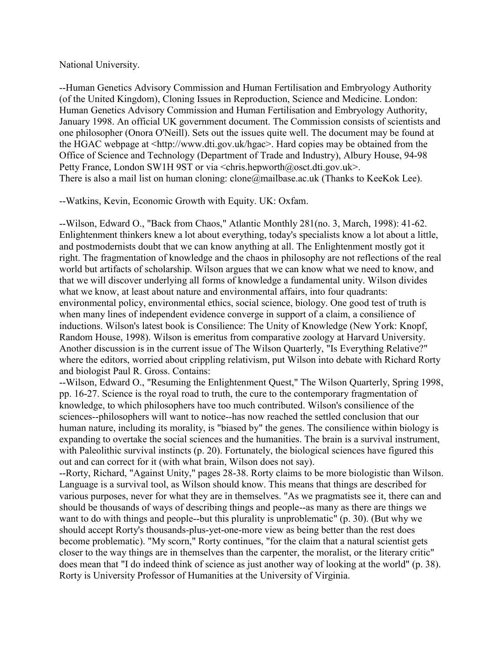#### National University.

--Human Genetics Advisory Commission and Human Fertilisation and Embryology Authority (of the United Kingdom), Cloning Issues in Reproduction, Science and Medicine. London: Human Genetics Advisory Commission and Human Fertilisation and Embryology Authority, January 1998. An official UK government document. The Commission consists of scientists and one philosopher (Onora O'Neill). Sets out the issues quite well. The document may be found at the HGAC webpage at <http://www.dti.gov.uk/hgac>. Hard copies may be obtained from the Office of Science and Technology (Department of Trade and Industry), Albury House, 94-98 Petty France, London SW1H 9ST or via <chris.hepworth@osct.dti.gov.uk>. There is also a mail list on human cloning: clone@mailbase.ac.uk (Thanks to KeeKok Lee).

--Watkins, Kevin, Economic Growth with Equity. UK: Oxfam.

--Wilson, Edward O., "Back from Chaos," Atlantic Monthly 281(no. 3, March, 1998): 41-62. Enlightenment thinkers knew a lot about everything, today's specialists know a lot about a little, and postmodernists doubt that we can know anything at all. The Enlightenment mostly got it right. The fragmentation of knowledge and the chaos in philosophy are not reflections of the real world but artifacts of scholarship. Wilson argues that we can know what we need to know, and that we will discover underlying all forms of knowledge a fundamental unity. Wilson divides what we know, at least about nature and environmental affairs, into four quadrants: environmental policy, environmental ethics, social science, biology. One good test of truth is when many lines of independent evidence converge in support of a claim, a consilience of inductions. Wilson's latest book is Consilience: The Unity of Knowledge (New York: Knopf, Random House, 1998). Wilson is emeritus from comparative zoology at Harvard University. Another discussion is in the current issue of The Wilson Quarterly, "Is Everything Relative?" where the editors, worried about crippling relativism, put Wilson into debate with Richard Rorty and biologist Paul R. Gross. Contains:

--Wilson, Edward O., "Resuming the Enlightenment Quest," The Wilson Quarterly, Spring 1998, pp. 16-27. Science is the royal road to truth, the cure to the contemporary fragmentation of knowledge, to which philosophers have too much contributed. Wilson's consilience of the sciences--philosophers will want to notice--has now reached the settled conclusion that our human nature, including its morality, is "biased by" the genes. The consilience within biology is expanding to overtake the social sciences and the humanities. The brain is a survival instrument, with Paleolithic survival instincts (p. 20). Fortunately, the biological sciences have figured this out and can correct for it (with what brain, Wilson does not say).

--Rorty, Richard, "Against Unity," pages 28-38. Rorty claims to be more biologistic than Wilson. Language is a survival tool, as Wilson should know. This means that things are described for various purposes, never for what they are in themselves. "As we pragmatists see it, there can and should be thousands of ways of describing things and people--as many as there are things we want to do with things and people--but this plurality is unproblematic" (p. 30). (But why we should accept Rorty's thousands-plus-yet-one-more view as being better than the rest does become problematic). "My scorn," Rorty continues, "for the claim that a natural scientist gets closer to the way things are in themselves than the carpenter, the moralist, or the literary critic" does mean that "I do indeed think of science as just another way of looking at the world" (p. 38). Rorty is University Professor of Humanities at the University of Virginia.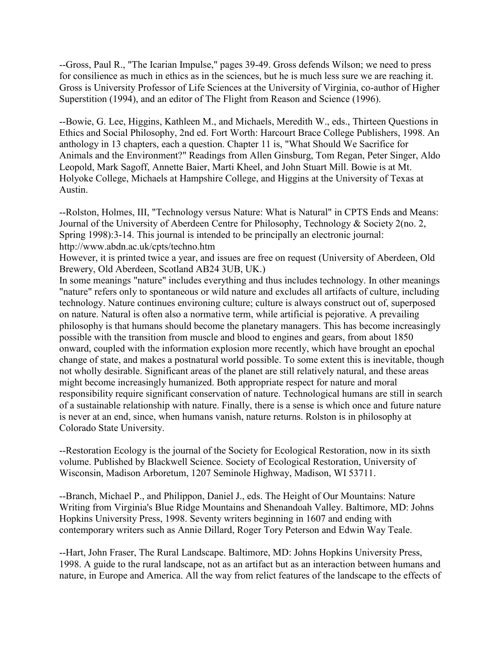--Gross, Paul R., "The Icarian Impulse," pages 39-49. Gross defends Wilson; we need to press for consilience as much in ethics as in the sciences, but he is much less sure we are reaching it. Gross is University Professor of Life Sciences at the University of Virginia, co-author of Higher Superstition (1994), and an editor of The Flight from Reason and Science (1996).

--Bowie, G. Lee, Higgins, Kathleen M., and Michaels, Meredith W., eds., Thirteen Questions in Ethics and Social Philosophy, 2nd ed. Fort Worth: Harcourt Brace College Publishers, 1998. An anthology in 13 chapters, each a question. Chapter 11 is, "What Should We Sacrifice for Animals and the Environment?" Readings from Allen Ginsburg, Tom Regan, Peter Singer, Aldo Leopold, Mark Sagoff, Annette Baier, Marti Kheel, and John Stuart Mill. Bowie is at Mt. Holyoke College, Michaels at Hampshire College, and Higgins at the University of Texas at Austin.

--Rolston, Holmes, III, "Technology versus Nature: What is Natural" in CPTS Ends and Means: Journal of the University of Aberdeen Centre for Philosophy, Technology & Society 2(no. 2, Spring 1998):3-14. This journal is intended to be principally an electronic journal: http://www.abdn.ac.uk/cpts/techno.htm

However, it is printed twice a year, and issues are free on request (University of Aberdeen, Old Brewery, Old Aberdeen, Scotland AB24 3UB, UK.)

In some meanings "nature" includes everything and thus includes technology. In other meanings "nature" refers only to spontaneous or wild nature and excludes all artifacts of culture, including technology. Nature continues environing culture; culture is always construct out of, superposed on nature. Natural is often also a normative term, while artificial is pejorative. A prevailing philosophy is that humans should become the planetary managers. This has become increasingly possible with the transition from muscle and blood to engines and gears, from about 1850 onward, coupled with the information explosion more recently, which have brought an epochal change of state, and makes a postnatural world possible. To some extent this is inevitable, though not wholly desirable. Significant areas of the planet are still relatively natural, and these areas might become increasingly humanized. Both appropriate respect for nature and moral responsibility require significant conservation of nature. Technological humans are still in search of a sustainable relationship with nature. Finally, there is a sense is which once and future nature is never at an end, since, when humans vanish, nature returns. Rolston is in philosophy at Colorado State University.

--Restoration Ecology is the journal of the Society for Ecological Restoration, now in its sixth volume. Published by Blackwell Science. Society of Ecological Restoration, University of Wisconsin, Madison Arboretum, 1207 Seminole Highway, Madison, WI 53711.

--Branch, Michael P., and Philippon, Daniel J., eds. The Height of Our Mountains: Nature Writing from Virginia's Blue Ridge Mountains and Shenandoah Valley. Baltimore, MD: Johns Hopkins University Press, 1998. Seventy writers beginning in 1607 and ending with contemporary writers such as Annie Dillard, Roger Tory Peterson and Edwin Way Teale.

--Hart, John Fraser, The Rural Landscape. Baltimore, MD: Johns Hopkins University Press, 1998. A guide to the rural landscape, not as an artifact but as an interaction between humans and nature, in Europe and America. All the way from relict features of the landscape to the effects of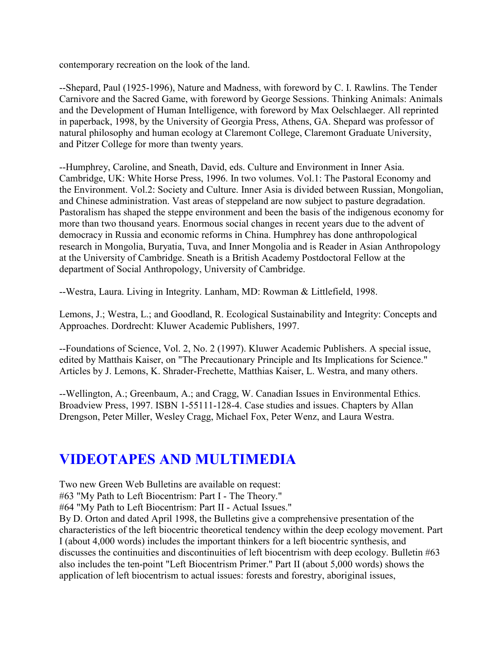contemporary recreation on the look of the land.

--Shepard, Paul (1925-1996), Nature and Madness, with foreword by C. I. Rawlins. The Tender Carnivore and the Sacred Game, with foreword by George Sessions. Thinking Animals: Animals and the Development of Human Intelligence, with foreword by Max Oelschlaeger. All reprinted in paperback, 1998, by the University of Georgia Press, Athens, GA. Shepard was professor of natural philosophy and human ecology at Claremont College, Claremont Graduate University, and Pitzer College for more than twenty years.

--Humphrey, Caroline, and Sneath, David, eds. Culture and Environment in Inner Asia. Cambridge, UK: White Horse Press, 1996. In two volumes. Vol.1: The Pastoral Economy and the Environment. Vol.2: Society and Culture. Inner Asia is divided between Russian, Mongolian, and Chinese administration. Vast areas of steppeland are now subject to pasture degradation. Pastoralism has shaped the steppe environment and been the basis of the indigenous economy for more than two thousand years. Enormous social changes in recent years due to the advent of democracy in Russia and economic reforms in China. Humphrey has done anthropological research in Mongolia, Buryatia, Tuva, and Inner Mongolia and is Reader in Asian Anthropology at the University of Cambridge. Sneath is a British Academy Postdoctoral Fellow at the department of Social Anthropology, University of Cambridge.

--Westra, Laura. Living in Integrity. Lanham, MD: Rowman & Littlefield, 1998.

Lemons, J.; Westra, L.; and Goodland, R. Ecological Sustainability and Integrity: Concepts and Approaches. Dordrecht: Kluwer Academic Publishers, 1997.

--Foundations of Science, Vol. 2, No. 2 (1997). Kluwer Academic Publishers. A special issue, edited by Matthais Kaiser, on "The Precautionary Principle and Its Implications for Science." Articles by J. Lemons, K. Shrader-Frechette, Matthias Kaiser, L. Westra, and many others.

--Wellington, A.; Greenbaum, A.; and Cragg, W. Canadian Issues in Environmental Ethics. Broadview Press, 1997. ISBN 1-55111-128-4. Case studies and issues. Chapters by Allan Drengson, Peter Miller, Wesley Cragg, Michael Fox, Peter Wenz, and Laura Westra.

# **VIDEOTAPES AND MULTIMEDIA**

Two new Green Web Bulletins are available on request:

#63 "My Path to Left Biocentrism: Part I - The Theory."

#64 "My Path to Left Biocentrism: Part II - Actual Issues."

By D. Orton and dated April 1998, the Bulletins give a comprehensive presentation of the characteristics of the left biocentric theoretical tendency within the deep ecology movement. Part I (about 4,000 words) includes the important thinkers for a left biocentric synthesis, and discusses the continuities and discontinuities of left biocentrism with deep ecology. Bulletin #63 also includes the ten-point "Left Biocentrism Primer." Part II (about 5,000 words) shows the application of left biocentrism to actual issues: forests and forestry, aboriginal issues,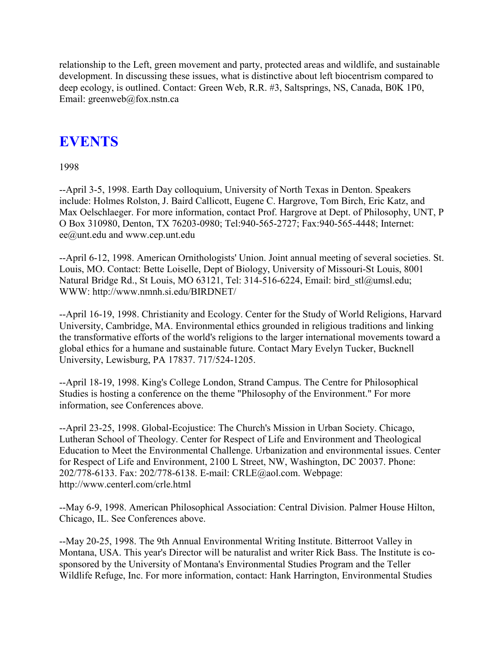relationship to the Left, green movement and party, protected areas and wildlife, and sustainable development. In discussing these issues, what is distinctive about left biocentrism compared to deep ecology, is outlined. Contact: Green Web, R.R. #3, Saltsprings, NS, Canada, B0K 1P0, Email: greenweb@fox.nstn.ca

# **EVENTS**

1998

--April 3-5, 1998. Earth Day colloquium, University of North Texas in Denton. Speakers include: Holmes Rolston, J. Baird Callicott, Eugene C. Hargrove, Tom Birch, Eric Katz, and Max Oelschlaeger. For more information, contact Prof. Hargrove at Dept. of Philosophy, UNT, P O Box 310980, Denton, TX 76203-0980; Tel:940-565-2727; Fax:940-565-4448; Internet: ee@unt.edu and www.cep.unt.edu

--April 6-12, 1998. American Ornithologists' Union. Joint annual meeting of several societies. St. Louis, MO. Contact: Bette Loiselle, Dept of Biology, University of Missouri-St Louis, 8001 Natural Bridge Rd., St Louis, MO 63121, Tel: 314-516-6224, Email: bird\_stl@umsl.edu; WWW: http://www.nmnh.si.edu/BIRDNET/

--April 16-19, 1998. Christianity and Ecology. Center for the Study of World Religions, Harvard University, Cambridge, MA. Environmental ethics grounded in religious traditions and linking the transformative efforts of the world's religions to the larger international movements toward a global ethics for a humane and sustainable future. Contact Mary Evelyn Tucker, Bucknell University, Lewisburg, PA 17837. 717/524-1205.

--April 18-19, 1998. King's College London, Strand Campus. The Centre for Philosophical Studies is hosting a conference on the theme "Philosophy of the Environment." For more information, see Conferences above.

--April 23-25, 1998. Global-Ecojustice: The Church's Mission in Urban Society. Chicago, Lutheran School of Theology. Center for Respect of Life and Environment and Theological Education to Meet the Environmental Challenge. Urbanization and environmental issues. Center for Respect of Life and Environment, 2100 L Street, NW, Washington, DC 20037. Phone: 202/778-6133. Fax: 202/778-6138. E-mail: CRLE@aol.com. Webpage: http://www.centerl.com/crle.html

--May 6-9, 1998. American Philosophical Association: Central Division. Palmer House Hilton, Chicago, IL. See Conferences above.

--May 20-25, 1998. The 9th Annual Environmental Writing Institute. Bitterroot Valley in Montana, USA. This year's Director will be naturalist and writer Rick Bass. The Institute is cosponsored by the University of Montana's Environmental Studies Program and the Teller Wildlife Refuge, Inc. For more information, contact: Hank Harrington, Environmental Studies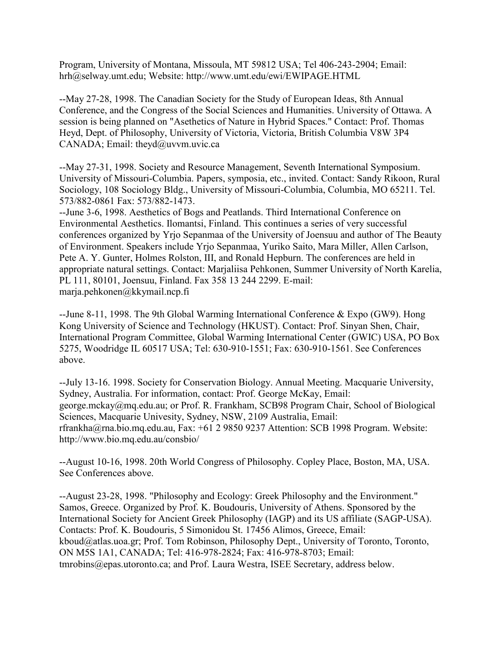Program, University of Montana, Missoula, MT 59812 USA; Tel 406-243-2904; Email: hrh@selway.umt.edu; Website: http://www.umt.edu/ewi/EWIPAGE.HTML

--May 27-28, 1998. The Canadian Society for the Study of European Ideas, 8th Annual Conference, and the Congress of the Social Sciences and Humanities. University of Ottawa. A session is being planned on "Asethetics of Nature in Hybrid Spaces." Contact: Prof. Thomas Heyd, Dept. of Philosophy, University of Victoria, Victoria, British Columbia V8W 3P4 CANADA; Email: theyd@uvvm.uvic.ca

--May 27-31, 1998. Society and Resource Management, Seventh International Symposium. University of Missouri-Columbia. Papers, symposia, etc., invited. Contact: Sandy Rikoon, Rural Sociology, 108 Sociology Bldg., University of Missouri-Columbia, Columbia, MO 65211. Tel. 573/882-0861 Fax: 573/882-1473.

--June 3-6, 1998. Aesthetics of Bogs and Peatlands. Third International Conference on Environmental Aesthetics. Ilomantsi, Finland. This continues a series of very successful conferences organized by Yrjo Sepanmaa of the University of Joensuu and author of The Beauty of Environment. Speakers include Yrjo Sepanmaa, Yuriko Saito, Mara Miller, Allen Carlson, Pete A. Y. Gunter, Holmes Rolston, III, and Ronald Hepburn. The conferences are held in appropriate natural settings. Contact: Marjaliisa Pehkonen, Summer University of North Karelia, PL 111, 80101, Joensuu, Finland. Fax 358 13 244 2299. E-mail: marja.pehkonen@kkymail.ncp.fi

--June 8-11, 1998. The 9th Global Warming International Conference & Expo (GW9). Hong Kong University of Science and Technology (HKUST). Contact: Prof. Sinyan Shen, Chair, International Program Committee, Global Warming International Center (GWIC) USA, PO Box 5275, Woodridge IL 60517 USA; Tel: 630-910-1551; Fax: 630-910-1561. See Conferences above.

--July 13-16. 1998. Society for Conservation Biology. Annual Meeting. Macquarie University, Sydney, Australia. For information, contact: Prof. George McKay, Email: george.mckay@mq.edu.au; or Prof. R. Frankham, SCB98 Program Chair, School of Biological Sciences, Macquarie Univesity, Sydney, NSW, 2109 Australia, Email: rfrankha@rna.bio.mq.edu.au, Fax: +61 2 9850 9237 Attention: SCB 1998 Program. Website: http://www.bio.mq.edu.au/consbio/

--August 10-16, 1998. 20th World Congress of Philosophy. Copley Place, Boston, MA, USA. See Conferences above.

--August 23-28, 1998. "Philosophy and Ecology: Greek Philosophy and the Environment." Samos, Greece. Organized by Prof. K. Boudouris, University of Athens. Sponsored by the International Society for Ancient Greek Philosophy (IAGP) and its US affiliate (SAGP-USA). Contacts: Prof. K. Boudouris, 5 Simonidou St. 17456 Alimos, Greece, Email: kboud@atlas.uoa.gr; Prof. Tom Robinson, Philosophy Dept., University of Toronto, Toronto, ON M5S 1A1, CANADA; Tel: 416-978-2824; Fax: 416-978-8703; Email: tmrobins@epas.utoronto.ca; and Prof. Laura Westra, ISEE Secretary, address below.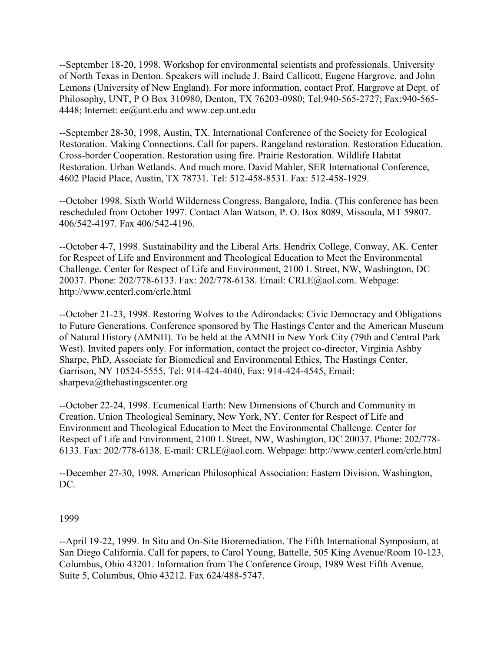--September 18-20, 1998. Workshop for environmental scientists and professionals. University of North Texas in Denton. Speakers will include J. Baird Callicott, Eugene Hargrove, and John Lemons (University of New England). For more information, contact Prof. Hargrove at Dept. of Philosophy, UNT, P O Box 310980, Denton, TX 76203-0980; Tel:940-565-2727; Fax:940-565- 4448; Internet: ee@unt.edu and www.cep.unt.edu

--September 28-30, 1998, Austin, TX. International Conference of the Society for Ecological Restoration. Making Connections. Call for papers. Rangeland restoration. Restoration Education. Cross-border Cooperation. Restoration using fire. Prairie Restoration. Wildlife Habitat Restoration. Urban Wetlands. And much more. David Mahler, SER International Conference, 4602 Placid Place, Austin, TX 78731. Tel: 512-458-8531. Fax: 512-458-1929.

--October 1998. Sixth World Wilderness Congress, Bangalore, India. (This conference has been rescheduled from October 1997. Contact Alan Watson, P. O. Box 8089, Missoula, MT 59807. 406/542-4197. Fax 406/542-4196.

--October 4-7, 1998. Sustainability and the Liberal Arts. Hendrix College, Conway, AK. Center for Respect of Life and Environment and Theological Education to Meet the Environmental Challenge. Center for Respect of Life and Environment, 2100 L Street, NW, Washington, DC 20037. Phone: 202/778-6133. Fax: 202/778-6138. Email: CRLE@aol.com. Webpage: http://www.centerl.com/crle.html

--October 21-23, 1998. Restoring Wolves to the Adirondacks: Civic Democracy and Obligations to Future Generations. Conference sponsored by The Hastings Center and the American Museum of Natural History (AMNH). To be held at the AMNH in New York City (79th and Central Park West). Invited papers only. For information, contact the project co-director, Virginia Ashby Sharpe, PhD, Associate for Biomedical and Environmental Ethics, The Hastings Center, Garrison, NY 10524-5555, Tel: 914-424-4040, Fax: 914-424-4545, Email: sharpeva@thehastingscenter.org

--October 22-24, 1998. Ecumenical Earth: New Dimensions of Church and Community in Creation. Union Theological Seminary, New York, NY. Center for Respect of Life and Environment and Theological Education to Meet the Environmental Challenge. Center for Respect of Life and Environment, 2100 L Street, NW, Washington, DC 20037. Phone: 202/778- 6133. Fax: 202/778-6138. E-mail: CRLE@aol.com. Webpage: http://www.centerl.com/crle.html

--December 27-30, 1998. American Philosophical Association: Eastern Division. Washington, DC.

#### 1999

--April 19-22, 1999. In Situ and On-Site Bioremediation. The Fifth International Symposium, at San Diego California. Call for papers, to Carol Young, Battelle, 505 King Avenue/Room 10-123, Columbus, Ohio 43201. Information from The Conference Group, 1989 West Fifth Avenue, Suite 5, Columbus, Ohio 43212. Fax 624/488-5747.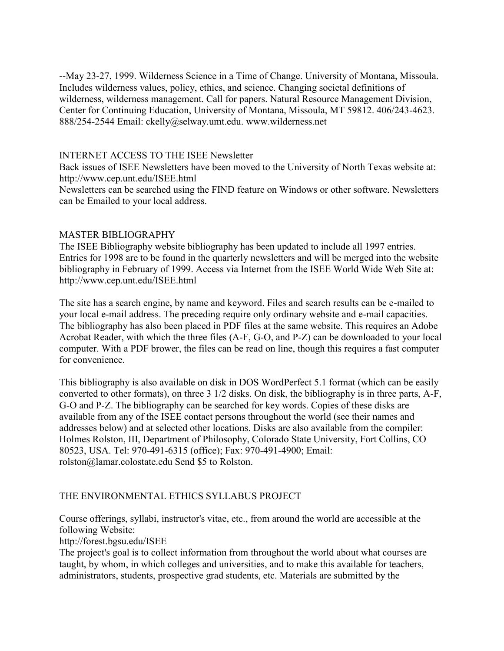--May 23-27, 1999. Wilderness Science in a Time of Change. University of Montana, Missoula. Includes wilderness values, policy, ethics, and science. Changing societal definitions of wilderness, wilderness management. Call for papers. Natural Resource Management Division, Center for Continuing Education, University of Montana, Missoula, MT 59812. 406/243-4623. 888/254-2544 Email: ckelly@selway.umt.edu. www.wilderness.net

#### INTERNET ACCESS TO THE ISEE Newsletter

Back issues of ISEE Newsletters have been moved to the University of North Texas website at: http://www.cep.unt.edu/ISEE.html

Newsletters can be searched using the FIND feature on Windows or other software. Newsletters can be Emailed to your local address.

#### MASTER BIBLIOGRAPHY

The ISEE Bibliography website bibliography has been updated to include all 1997 entries. Entries for 1998 are to be found in the quarterly newsletters and will be merged into the website bibliography in February of 1999. Access via Internet from the ISEE World Wide Web Site at: http://www.cep.unt.edu/ISEE.html

The site has a search engine, by name and keyword. Files and search results can be e-mailed to your local e-mail address. The preceding require only ordinary website and e-mail capacities. The bibliography has also been placed in PDF files at the same website. This requires an Adobe Acrobat Reader, with which the three files (A-F, G-O, and P-Z) can be downloaded to your local computer. With a PDF brower, the files can be read on line, though this requires a fast computer for convenience.

This bibliography is also available on disk in DOS WordPerfect 5.1 format (which can be easily converted to other formats), on three 3 1/2 disks. On disk, the bibliography is in three parts, A-F, G-O and P-Z. The bibliography can be searched for key words. Copies of these disks are available from any of the ISEE contact persons throughout the world (see their names and addresses below) and at selected other locations. Disks are also available from the compiler: Holmes Rolston, III, Department of Philosophy, Colorado State University, Fort Collins, CO 80523, USA. Tel: 970-491-6315 (office); Fax: 970-491-4900; Email: rolston@lamar.colostate.edu Send \$5 to Rolston.

#### THE ENVIRONMENTAL ETHICS SYLLABUS PROJECT

Course offerings, syllabi, instructor's vitae, etc., from around the world are accessible at the following Website:

http://forest.bgsu.edu/ISEE

The project's goal is to collect information from throughout the world about what courses are taught, by whom, in which colleges and universities, and to make this available for teachers, administrators, students, prospective grad students, etc. Materials are submitted by the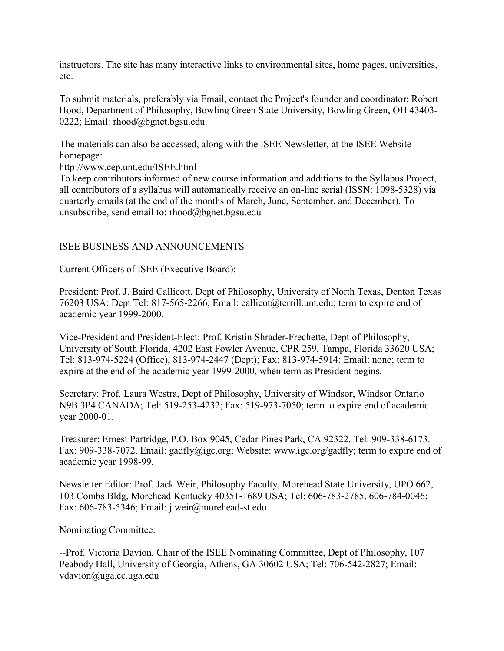instructors. The site has many interactive links to environmental sites, home pages, universities, etc.

To submit materials, preferably via Email, contact the Project's founder and coordinator: Robert Hood, Department of Philosophy, Bowling Green State University, Bowling Green, OH 43403- 0222; Email: rhood@bgnet.bgsu.edu.

The materials can also be accessed, along with the ISEE Newsletter, at the ISEE Website homepage:

http://www.cep.unt.edu/ISEE.html

To keep contributors informed of new course information and additions to the Syllabus Project, all contributors of a syllabus will automatically receive an on-line serial (ISSN: 1098-5328) via quarterly emails (at the end of the months of March, June, September, and December). To unsubscribe, send email to: rhood@bgnet.bgsu.edu

## ISEE BUSINESS AND ANNOUNCEMENTS

Current Officers of ISEE (Executive Board):

President: Prof. J. Baird Callicott, Dept of Philosophy, University of North Texas, Denton Texas 76203 USA; Dept Tel: 817-565-2266; Email: callicot@terrill.unt.edu; term to expire end of academic year 1999-2000.

Vice-President and President-Elect: Prof. Kristin Shrader-Frechette, Dept of Philosophy, University of South Florida, 4202 East Fowler Avenue, CPR 259, Tampa, Florida 33620 USA; Tel: 813-974-5224 (Office), 813-974-2447 (Dept); Fax: 813-974-5914; Email: none; term to expire at the end of the academic year 1999-2000, when term as President begins.

Secretary: Prof. Laura Westra, Dept of Philosophy, University of Windsor, Windsor Ontario N9B 3P4 CANADA; Tel: 519-253-4232; Fax: 519-973-7050; term to expire end of academic year 2000-01.

Treasurer: Ernest Partridge, P.O. Box 9045, Cedar Pines Park, CA 92322. Tel: 909-338-6173. Fax: 909-338-7072. Email: gadfly@igc.org; Website: www.igc.org/gadfly; term to expire end of academic year 1998-99.

Newsletter Editor: Prof. Jack Weir, Philosophy Faculty, Morehead State University, UPO 662, 103 Combs Bldg, Morehead Kentucky 40351-1689 USA; Tel: 606-783-2785, 606-784-0046; Fax: 606-783-5346; Email: j.weir@morehead-st.edu

Nominating Committee:

--Prof. Victoria Davion, Chair of the ISEE Nominating Committee, Dept of Philosophy, 107 Peabody Hall, University of Georgia, Athens, GA 30602 USA; Tel: 706-542-2827; Email: vdavion@uga.cc.uga.edu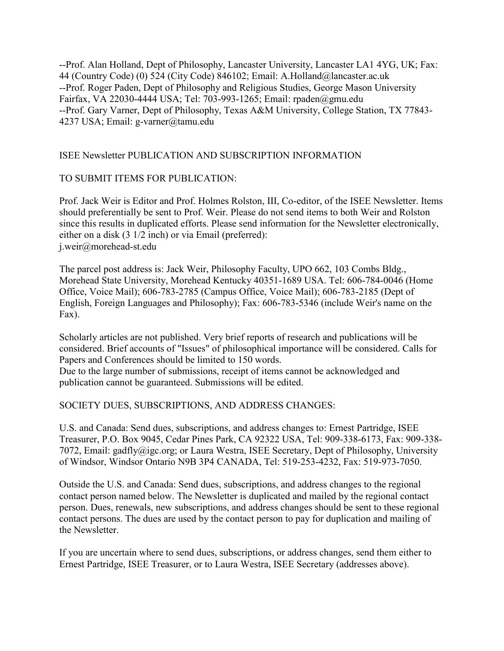--Prof. Alan Holland, Dept of Philosophy, Lancaster University, Lancaster LA1 4YG, UK; Fax: 44 (Country Code) (0) 524 (City Code) 846102; Email: A.Holland@lancaster.ac.uk --Prof. Roger Paden, Dept of Philosophy and Religious Studies, George Mason University Fairfax, VA 22030-4444 USA; Tel: 703-993-1265; Email: rpaden@gmu.edu --Prof. Gary Varner, Dept of Philosophy, Texas A&M University, College Station, TX 77843- 4237 USA; Email: g-varner@tamu.edu

## ISEE Newsletter PUBLICATION AND SUBSCRIPTION INFORMATION

### TO SUBMIT ITEMS FOR PUBLICATION:

Prof. Jack Weir is Editor and Prof. Holmes Rolston, III, Co-editor, of the ISEE Newsletter. Items should preferentially be sent to Prof. Weir. Please do not send items to both Weir and Rolston since this results in duplicated efforts. Please send information for the Newsletter electronically, either on a disk (3 1/2 inch) or via Email (preferred): j.weir@morehead-st.edu

The parcel post address is: Jack Weir, Philosophy Faculty, UPO 662, 103 Combs Bldg., Morehead State University, Morehead Kentucky 40351-1689 USA. Tel: 606-784-0046 (Home Office, Voice Mail); 606-783-2785 (Campus Office, Voice Mail); 606-783-2185 (Dept of English, Foreign Languages and Philosophy); Fax: 606-783-5346 (include Weir's name on the Fax).

Scholarly articles are not published. Very brief reports of research and publications will be considered. Brief accounts of "Issues" of philosophical importance will be considered. Calls for Papers and Conferences should be limited to 150 words.

Due to the large number of submissions, receipt of items cannot be acknowledged and publication cannot be guaranteed. Submissions will be edited.

#### SOCIETY DUES, SUBSCRIPTIONS, AND ADDRESS CHANGES:

U.S. and Canada: Send dues, subscriptions, and address changes to: Ernest Partridge, ISEE Treasurer, P.O. Box 9045, Cedar Pines Park, CA 92322 USA, Tel: 909-338-6173, Fax: 909-338- 7072, Email: gadfly@igc.org; or Laura Westra, ISEE Secretary, Dept of Philosophy, University of Windsor, Windsor Ontario N9B 3P4 CANADA, Tel: 519-253-4232, Fax: 519-973-7050.

Outside the U.S. and Canada: Send dues, subscriptions, and address changes to the regional contact person named below. The Newsletter is duplicated and mailed by the regional contact person. Dues, renewals, new subscriptions, and address changes should be sent to these regional contact persons. The dues are used by the contact person to pay for duplication and mailing of the Newsletter.

If you are uncertain where to send dues, subscriptions, or address changes, send them either to Ernest Partridge, ISEE Treasurer, or to Laura Westra, ISEE Secretary (addresses above).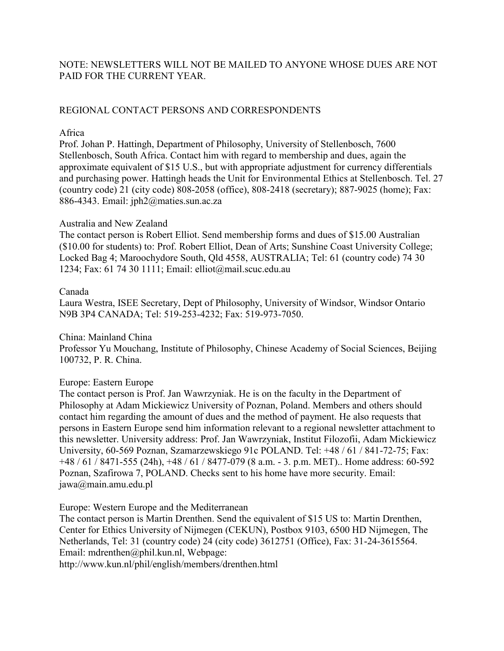## NOTE: NEWSLETTERS WILL NOT BE MAILED TO ANYONE WHOSE DUES ARE NOT PAID FOR THE CURRENT YEAR.

# REGIONAL CONTACT PERSONS AND CORRESPONDENTS

### Africa

Prof. Johan P. Hattingh, Department of Philosophy, University of Stellenbosch, 7600 Stellenbosch, South Africa. Contact him with regard to membership and dues, again the approximate equivalent of \$15 U.S., but with appropriate adjustment for currency differentials and purchasing power. Hattingh heads the Unit for Environmental Ethics at Stellenbosch. Tel. 27 (country code) 21 (city code) 808-2058 (office), 808-2418 (secretary); 887-9025 (home); Fax: 886-4343. Email: jph2@maties.sun.ac.za

### Australia and New Zealand

The contact person is Robert Elliot. Send membership forms and dues of \$15.00 Australian (\$10.00 for students) to: Prof. Robert Elliot, Dean of Arts; Sunshine Coast University College; Locked Bag 4; Maroochydore South, Qld 4558, AUSTRALIA; Tel: 61 (country code) 74 30 1234; Fax: 61 74 30 1111; Email: elliot@mail.scuc.edu.au

#### Canada

Laura Westra, ISEE Secretary, Dept of Philosophy, University of Windsor, Windsor Ontario N9B 3P4 CANADA; Tel: 519-253-4232; Fax: 519-973-7050.

#### China: Mainland China

Professor Yu Mouchang, Institute of Philosophy, Chinese Academy of Social Sciences, Beijing 100732, P. R. China.

## Europe: Eastern Europe

The contact person is Prof. Jan Wawrzyniak. He is on the faculty in the Department of Philosophy at Adam Mickiewicz University of Poznan, Poland. Members and others should contact him regarding the amount of dues and the method of payment. He also requests that persons in Eastern Europe send him information relevant to a regional newsletter attachment to this newsletter. University address: Prof. Jan Wawrzyniak, Institut Filozofii, Adam Mickiewicz University, 60-569 Poznan, Szamarzewskiego 91c POLAND. Tel: +48 / 61 / 841-72-75; Fax: +48 / 61 / 8471-555 (24h), +48 / 61 / 8477-079 (8 a.m. - 3. p.m. MET).. Home address: 60-592 Poznan, Szafirowa 7, POLAND. Checks sent to his home have more security. Email: jawa@main.amu.edu.pl

Europe: Western Europe and the Mediterranean The contact person is Martin Drenthen. Send the equivalent of \$15 US to: Martin Drenthen, Center for Ethics University of Nijmegen (CEKUN), Postbox 9103, 6500 HD Nijmegen, The Netherlands, Tel: 31 (country code) 24 (city code) 3612751 (Office), Fax: 31-24-3615564. Email: mdrenthen@phil.kun.nl, Webpage: http://www.kun.nl/phil/english/members/drenthen.html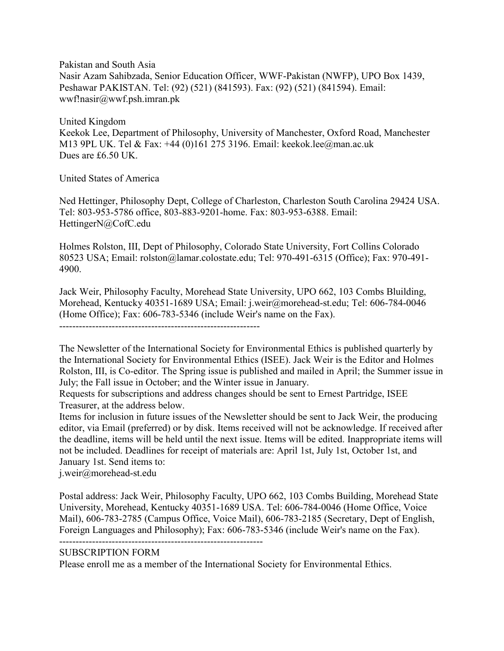Pakistan and South Asia Nasir Azam Sahibzada, Senior Education Officer, WWF-Pakistan (NWFP), UPO Box 1439, Peshawar PAKISTAN. Tel: (92) (521) (841593). Fax: (92) (521) (841594). Email: wwf!nasir@wwf.psh.imran.pk

United Kingdom Keekok Lee, Department of Philosophy, University of Manchester, Oxford Road, Manchester M13 9PL UK. Tel & Fax: +44 (0)161 275 3196. Email: keekok.lee@man.ac.uk Dues are £6.50 UK.

United States of America

Ned Hettinger, Philosophy Dept, College of Charleston, Charleston South Carolina 29424 USA. Tel: 803-953-5786 office, 803-883-9201-home. Fax: 803-953-6388. Email: HettingerN@CofC.edu

Holmes Rolston, III, Dept of Philosophy, Colorado State University, Fort Collins Colorado 80523 USA; Email: rolston@lamar.colostate.edu; Tel: 970-491-6315 (Office); Fax: 970-491- 4900.

Jack Weir, Philosophy Faculty, Morehead State University, UPO 662, 103 Combs Bluilding, Morehead, Kentucky 40351-1689 USA; Email: j.weir@morehead-st.edu; Tel: 606-784-0046 (Home Office); Fax: 606-783-5346 (include Weir's name on the Fax).

-------------------------------------------------------------

The Newsletter of the International Society for Environmental Ethics is published quarterly by the International Society for Environmental Ethics (ISEE). Jack Weir is the Editor and Holmes Rolston, III, is Co-editor. The Spring issue is published and mailed in April; the Summer issue in July; the Fall issue in October; and the Winter issue in January.

Requests for subscriptions and address changes should be sent to Ernest Partridge, ISEE Treasurer, at the address below.

Items for inclusion in future issues of the Newsletter should be sent to Jack Weir, the producing editor, via Email (preferred) or by disk. Items received will not be acknowledge. If received after the deadline, items will be held until the next issue. Items will be edited. Inappropriate items will not be included. Deadlines for receipt of materials are: April 1st, July 1st, October 1st, and January 1st. Send items to:

j.weir@morehead-st.edu

Postal address: Jack Weir, Philosophy Faculty, UPO 662, 103 Combs Building, Morehead State University, Morehead, Kentucky 40351-1689 USA. Tel: 606-784-0046 (Home Office, Voice Mail), 606-783-2785 (Campus Office, Voice Mail), 606-783-2185 (Secretary, Dept of English, Foreign Languages and Philosophy); Fax: 606-783-5346 (include Weir's name on the Fax). --------------------------------------------------------------

## SUBSCRIPTION FORM

Please enroll me as a member of the International Society for Environmental Ethics.